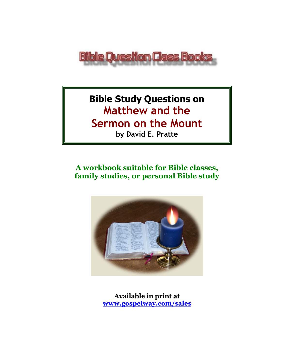

# **Bible Study Questions on Matthew and the Sermon on the Mount by David E. Pratte**

# **A workbook suitable for Bible classes, family studies, or personal Bible study**



**Available in print at [www.gospelway.com/sales](https://www.gospelway.com/sales)**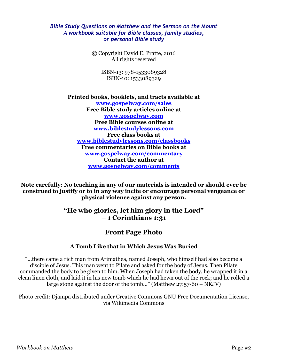### *Bible Study Questions on Matthew and the Sermon on the Mount A workbook suitable for Bible classes, family studies, or personal Bible study*

© Copyright David E. Pratte, 2016 All rights reserved

> ISBN-13: 978-1533089328 ISBN-10: 1533089329

**Printed books, booklets, and tracts available at [www.gospelway.com/sales](https://www.gospelway.com/sales) Free Bible study articles online at [www.gospelway.com](http://www.gospelway.com/) Free Bible courses online at [www.biblestudylessons.com](http://www.biblestudylessons.com/) Free class books at [www.biblestudylessons.com/classbooks](http://www.biblestudylessons.com/classbooks) Free commentaries on Bible books at [www.gospelway.com/commentary](http://www.gospelway.com/commentary) Contact the author at [www.gospelway.com/comments](http://www.gospelway.com/comments)**

**Note carefully: No teaching in any of our materials is intended or should ever be construed to justify or to in any way incite or encourage personal vengeance or physical violence against any person.**

### **"He who glories, let him glory in the Lord" – 1 Corinthians 1:31**

### **Front Page Photo**

### **A Tomb Like that in Which Jesus Was Buried**

"…there came a rich man from Arimathea, named Joseph, who himself had also become a disciple of Jesus. This man went to Pilate and asked for the body of Jesus. Then Pilate commanded the body to be given to him. When Joseph had taken the body, he wrapped it in a clean linen cloth, and laid it in his new tomb which he had hewn out of the rock; and he rolled a large stone against the door of the tomb..." (Matthew 27:57-60 – NKJV)

Photo credit: Djampa distributed under Creative Commons GNU Free Documentation License, via Wikimedia Commons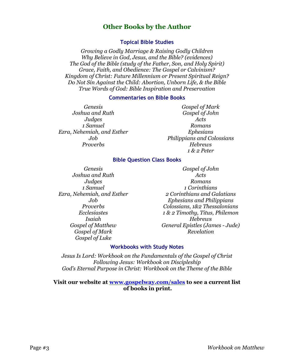### **Other Books by the Author**

#### **Topical Bible Studies**

*Growing a Godly Marriage & Raising Godly Children Why Believe in God, Jesus, and the Bible? (evidences) The God of the Bible (study of the Father, Son, and Holy Spirit) Grace, Faith, and Obedience: The Gospel or Calvinism? Kingdom of Christ: Future Millennium or Present Spiritual Reign? Do Not Sin Against the Child: Abortion, Unborn Life, & the Bible True Words of God: Bible Inspiration and Preservation*

#### **Commentaries on Bible Books**

*Genesis Joshua and Ruth Judges 1 Samuel Ezra, Nehemiah, and Esther Job Proverbs*

*Gospel of Mark Gospel of John Acts Romans Ephesians Philippians and Colossians Hebrews 1 & 2 Peter*

#### **Bible Question Class Books**

*Genesis Joshua and Ruth Judges 1 Samuel Ezra, Nehemiah, and Esther Job Proverbs Ecclesiastes Isaiah Gospel of Matthew Gospel of Mark Gospel of Luke*

*Gospel of John Acts Romans 1 Corinthians 2 Corinthians and Galatians Ephesians and Philippians Colossians, 1&2 Thessalonians 1 & 2 Timothy, Titus, Philemon Hebrews General Epistles (James - Jude) Revelation*

#### **Workbooks with Study Notes**

*Jesus Is Lord: Workbook on the Fundamentals of the Gospel of Christ Following Jesus: Workbook on Discipleship God's Eternal Purpose in Christ: Workbook on the Theme of the Bible*

#### **Visit our website at [www.gospelway.com/sales](https://www.gospelway.com/sales) to see a current list of books in print.**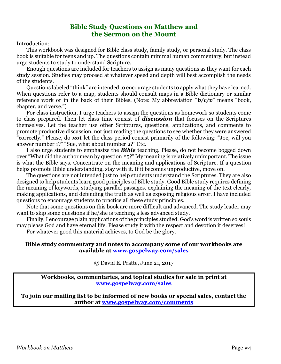### **Bible Study Questions on Matthew and the Sermon on the Mount**

Introduction:

This workbook was designed for Bible class study, family study, or personal study. The class book is suitable for teens and up. The questions contain minimal human commentary, but instead urge students to study to understand Scripture.

Enough questions are included for teachers to assign as many questions as they want for each study session. Studies may proceed at whatever speed and depth will best accomplish the needs of the students.

Questions labeled "think" are intended to encourage students to apply what they have learned. When questions refer to a map, students should consult maps in a Bible dictionary or similar reference work or in the back of their Bibles. (Note: My abbreviation "*b/c/v*" means "book, chapter, and verse.")

For class instruction, I urge teachers to assign the questions as homework so students come to class prepared. Then let class time consist of *discussion* that focuses on the Scriptures themselves. Let the teacher use other Scriptures, questions, applications, and comments to promote productive discussion, not just reading the questions to see whether they were answered "correctly." Please, do *not* let the class period consist primarily of the following: "Joe, will you answer number 1?" "Sue, what about number 2?" Etc.

I also urge students to emphasize the *Bible* teaching. Please, do not become bogged down over "What did the author mean by question #5?" My meaning is relatively unimportant. The issue is what the Bible says. Concentrate on the meaning and applications of Scripture. If a question helps promote Bible understanding, stay with it. If it becomes unproductive, move on.

The questions are not intended just to help students understand the Scriptures. They are also designed to help students learn good principles of Bible study. Good Bible study requires defining the meaning of keywords, studying parallel passages, explaining the meaning of the text clearly, making applications, and defending the truth as well as exposing religious error. I have included questions to encourage students to practice all these study principles.

Note that some questions on this book are more difficult and advanced. The study leader may want to skip some questions if he/she is teaching a less advanced study.

Finally, I encourage plain applications of the principles studied. God's word is written so souls may please God and have eternal life. Please study it with the respect and devotion it deserves! For whatever good this material achieves, to God be the glory.

### **Bible study commentary and notes to accompany some of our workbooks are available at [www.gospelway.com/sales](https://www.gospelway.com/sales)**

© David E. Pratte, June 21, 2017

**Workbooks, commentaries, and topical studies for sale in print at [www.gospelway.com/sales](https://www.gospelway.com/sales)**

**To join our mailing list to be informed of new books or special sales, contact the author at [www.gospelway.com/comments](http://www.gospelway.com/comments)**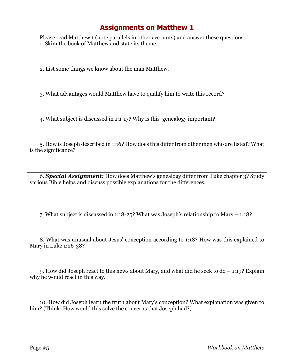Please read Matthew 1 (note parallels in other accounts) and answer these questions. 1. Skim the book of Matthew and state its theme.

2. List some things we know about the man Matthew.

3. What advantages would Matthew have to qualify him to write this record?

4. What subject is discussed in 1:1-17? Why is this genealogy important?

5. How is Joseph described in 1:16? How does this differ from other men who are listed? What is the significance?

6. *Special Assignment:* How does Matthew's genealogy differ from Luke chapter 3? Study various Bible helps and discuss possible explanations for the differences.

7. What subject is discussed in 1:18-25? What was Joseph's relationship to Mary – 1:18?

8. What was unusual about Jesus' conception according to 1:18? How was this explained to Mary in Luke 1:26-38?

9. How did Joseph react to this news about Mary, and what did he seek to do – 1:19? Explain why he would react in this way.

10. How did Joseph learn the truth about Mary's conception? What explanation was given to him? (Think: How would this solve the concerns that Joseph had?)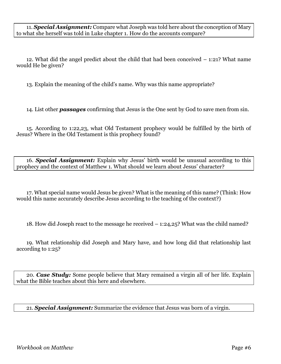11. *Special Assignment:* Compare what Joseph was told here about the conception of Mary to what she herself was told in Luke chapter 1. How do the accounts compare?

12. What did the angel predict about the child that had been conceived – 1:21? What name would He be given?

13. Explain the meaning of the child's name. Why was this name appropriate?

14. List other *passages* confirming that Jesus is the One sent by God to save men from sin.

15. According to 1:22,23, what Old Testament prophecy would be fulfilled by the birth of Jesus? Where in the Old Testament is this prophecy found?

16. *Special Assignment:* Explain why Jesus' birth would be unusual according to this prophecy and the context of Matthew 1. What should we learn about Jesus' character?

17. What special name would Jesus be given? What is the meaning of this name? (Think: How would this name accurately describe Jesus according to the teaching of the context?)

18. How did Joseph react to the message he received – 1:24,25? What was the child named?

19. What relationship did Joseph and Mary have, and how long did that relationship last according to 1:25?

20. *Case Study:* Some people believe that Mary remained a virgin all of her life. Explain what the Bible teaches about this here and elsewhere.

21. *Special Assignment:* Summarize the evidence that Jesus was born of a virgin.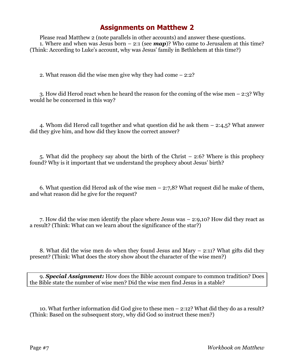Please read Matthew 2 (note parallels in other accounts) and answer these questions. 1. Where and when was Jesus born  $-2:1$  (see **map**)? Who came to Jerusalem at this time? (Think: According to Luke's account, why was Jesus' family in Bethlehem at this time?)

2. What reason did the wise men give why they had come – 2:2?

3. How did Herod react when he heard the reason for the coming of the wise men – 2:3? Why would he be concerned in this way?

4. Whom did Herod call together and what question did he ask them – 2:4,5? What answer did they give him, and how did they know the correct answer?

5. What did the prophecy say about the birth of the Christ – 2:6? Where is this prophecy found? Why is it important that we understand the prophecy about Jesus' birth?

6. What question did Herod ask of the wise men  $-2:7.8$ ? What request did he make of them, and what reason did he give for the request?

7. How did the wise men identify the place where Jesus was – 2:9,10? How did they react as a result? (Think: What can we learn about the significance of the star?)

8. What did the wise men do when they found Jesus and Mary – 2:11? What gifts did they present? (Think: What does the story show about the character of the wise men?)

9. *Special Assignment:* How does the Bible account compare to common tradition? Does the Bible state the number of wise men? Did the wise men find Jesus in a stable?

10. What further information did God give to these men – 2:12? What did they do as a result? (Think: Based on the subsequent story, why did God so instruct these men?)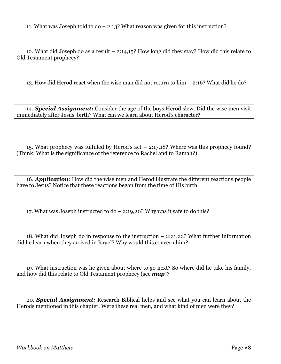11. What was Joseph told to do – 2:13? What reason was given for this instruction?

12. What did Joseph do as a result – 2:14,15? How long did they stay? How did this relate to Old Testament prophecy?

13. How did Herod react when the wise man did not return to him – 2:16? What did he do?

14. *Special Assignment:* Consider the age of the boys Herod slew. Did the wise men visit immediately after Jesus' birth? What can we learn about Herod's character?

15. What prophecy was fulfilled by Herod's act – 2:17,18? Where was this prophecy found? (Think: What is the significance of the reference to Rachel and to Ramah?)

16. *Application*: How did the wise men and Herod illustrate the different reactions people have to Jesus? Notice that these reactions began from the time of His birth.

17. What was Joseph instructed to do – 2:19,20? Why was it safe to do this?

18. What did Joseph do in response to the instruction – 2:21,22? What further information did he learn when they arrived in Israel? Why would this concern him?

19. What instruction was he given about where to go next? So where did he take his family, and how did this relate to Old Testament prophecy (see *map*)?

20. *Special Assignment:* Research Biblical helps and see what you can learn about the Herods mentioned in this chapter. Were these real men, and what kind of men were they?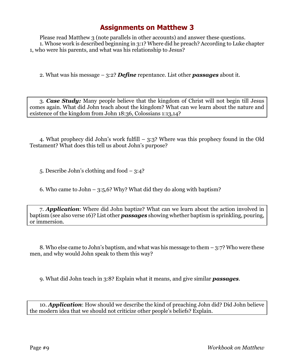Please read Matthew 3 (note parallels in other accounts) and answer these questions. 1. Whose work is described beginning in 3:1? Where did he preach? According to Luke chapter 1, who were his parents, and what was his relationship to Jesus?

2. What was his message – 3:2? *Define* repentance. List other *passages* about it.

3. *Case Study:* Many people believe that the kingdom of Christ will not begin till Jesus comes again. What did John teach about the kingdom? What can we learn about the nature and existence of the kingdom from John 18:36, Colossians 1:13,14?

4. What prophecy did John's work fulfill – 3:3? Where was this prophecy found in the Old Testament? What does this tell us about John's purpose?

5. Describe John's clothing and food – 3:4?

6. Who came to John – 3:5,6? Why? What did they do along with baptism?

7. *Application*: Where did John baptize? What can we learn about the action involved in baptism (see also verse 16)? List other *passages* showing whether baptism is sprinkling, pouring, or immersion.

8. Who else came to John's baptism, and what was his message to them – 3:7? Who were these men, and why would John speak to them this way?

9. What did John teach in 3:8? Explain what it means, and give similar *passages*.

10. *Application*: How should we describe the kind of preaching John did? Did John believe the modern idea that we should not criticize other people's beliefs? Explain.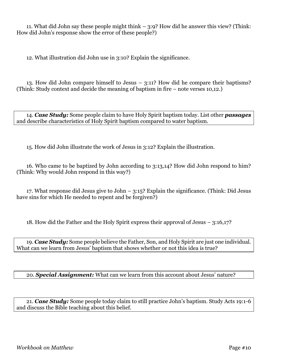11. What did John say these people might think – 3:9? How did he answer this view? (Think: How did John's response show the error of these people?)

12. What illustration did John use in 3:10? Explain the significance.

13. How did John compare himself to Jesus – 3:11? How did he compare their baptisms? (Think: Study context and decide the meaning of baptism in fire – note verses 10,12.)

14. *Case Study:* Some people claim to have Holy Spirit baptism today. List other *passages* and describe characteristics of Holy Spirit baptism compared to water baptism.

15. How did John illustrate the work of Jesus in 3:12? Explain the illustration.

16. Who came to be baptized by John according to 3:13,14? How did John respond to him? (Think: Why would John respond in this way?)

17. What response did Jesus give to John – 3:15? Explain the significance. (Think: Did Jesus have sins for which He needed to repent and be forgiven?)

18. How did the Father and the Holy Spirit express their approval of Jesus – 3:16,17?

19. *Case Study:* Some people believe the Father, Son, and Holy Spirit are just one individual. What can we learn from Jesus' baptism that shows whether or not this idea is true?

20. *Special Assignment:* What can we learn from this account about Jesus' nature?

21. *Case Study:* Some people today claim to still practice John's baptism. Study Acts 19:1-6 and discuss the Bible teaching about this belief.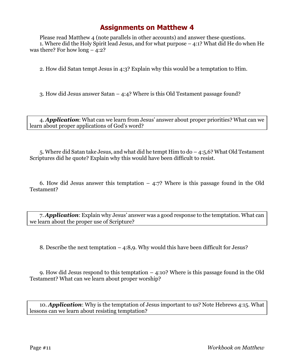Please read Matthew 4 (note parallels in other accounts) and answer these questions. 1. Where did the Holy Spirit lead Jesus, and for what purpose – 4:1? What did He do when He was there? For how  $\text{long} - 4:2$ ?

2. How did Satan tempt Jesus in 4:3? Explain why this would be a temptation to Him.

3. How did Jesus answer Satan – 4:4? Where is this Old Testament passage found?

4. *Application*: What can we learn from Jesus' answer about proper priorities? What can we learn about proper applications of God's word?

5. Where did Satan take Jesus, and what did he tempt Him to do – 4:5,6? What Old Testament Scriptures did he quote? Explain why this would have been difficult to resist.

6. How did Jesus answer this temptation  $-4.7$ ? Where is this passage found in the Old Testament?

7. *Application*: Explain why Jesus' answer was a good response to the temptation. What can we learn about the proper use of Scripture?

8. Describe the next temptation – 4:8,9. Why would this have been difficult for Jesus?

9. How did Jesus respond to this temptation – 4:10? Where is this passage found in the Old Testament? What can we learn about proper worship?

10. *Application*: Why is the temptation of Jesus important to us? Note Hebrews 4:15. What lessons can we learn about resisting temptation?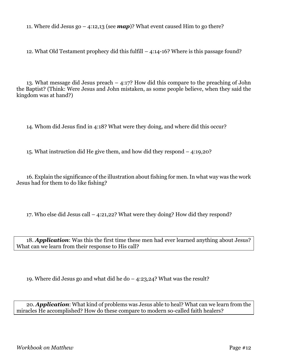11. Where did Jesus go  $-$  4:12,13 (see **map**)? What event caused Him to go there?

12. What Old Testament prophecy did this fulfill – 4:14-16? Where is this passage found?

13. What message did Jesus preach – 4:17? How did this compare to the preaching of John the Baptist? (Think: Were Jesus and John mistaken, as some people believe, when they said the kingdom was at hand?)

14. Whom did Jesus find in 4:18? What were they doing, and where did this occur?

15. What instruction did He give them, and how did they respond – 4:19,20?

16. Explain the significance of the illustration about fishing for men. In what way was the work Jesus had for them to do like fishing?

17. Who else did Jesus call – 4:21,22? What were they doing? How did they respond?

18. *Application*: Was this the first time these men had ever learned anything about Jesus? What can we learn from their response to His call?

19. Where did Jesus go and what did he do  $-$  4:23,24? What was the result?

20. *Application*: What kind of problems was Jesus able to heal? What can we learn from the miracles He accomplished? How do these compare to modern so-called faith healers?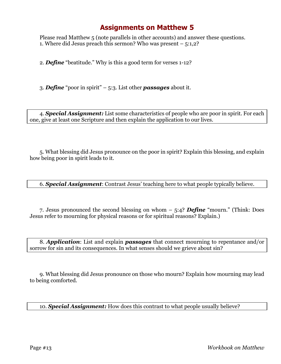Please read Matthew 5 (note parallels in other accounts) and answer these questions. 1. Where did Jesus preach this sermon? Who was present – 5:1,2?

2. *Define* "beatitude." Why is this a good term for verses 1-12?

3. *Define* "poor in spirit" – 5:3. List other *passages* about it.

4. *Special Assignment:* List some characteristics of people who are poor in spirit. For each one, give at least one Scripture and then explain the application to our lives.

5. What blessing did Jesus pronounce on the poor in spirit? Explain this blessing, and explain how being poor in spirit leads to it.

6. *Special Assignment*: Contrast Jesus' teaching here to what people typically believe.

7. Jesus pronounced the second blessing on whom – 5:4? *Define* "mourn." (Think: Does Jesus refer to mourning for physical reasons or for spiritual reasons? Explain.)

8. *Application*: List and explain *passages* that connect mourning to repentance and/or sorrow for sin and its consequences. In what senses should we grieve about sin?

9. What blessing did Jesus pronounce on those who mourn? Explain how mourning may lead to being comforted.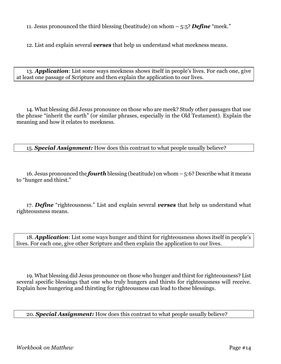11. Jesus pronounced the third blessing (beatitude) on whom – 5:5? *Define* "meek."

12. List and explain several *verses* that help us understand what meekness means.

13. *Application*: List some ways meekness shows itself in people's lives. For each one, give at least one passage of Scripture and then explain the application to our lives.

14. What blessing did Jesus pronounce on those who are meek? Study other passages that use the phrase "inherit the earth" (or similar phrases, especially in the Old Testament). Explain the meaning and how it relates to meekness.

15. *Special Assignment:* How does this contrast to what people usually believe?

16. Jesus pronounced the *fourth* blessing (beatitude) on whom – 5:6? Describe what it means to "hunger and thirst."

17. *Define* "righteousness." List and explain several *verses* that help us understand what righteousness means.

18. *Application*: List some ways hunger and thirst for righteousness shows itself in people's lives. For each one, give other Scripture and then explain the application to our lives.

19. What blessing did Jesus pronounce on those who hunger and thirst for righteousness? List several specific blessings that one who truly hungers and thirsts for righteousness will receive. Explain how hungering and thirsting for righteousness can lead to these blessings.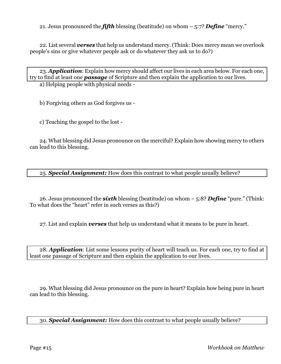21. Jesus pronounced the *fifth* blessing (beatitude) on whom – 5:7? *Define* "mercy."

22. List several *verses* that help us understand mercy. (Think: Does mercy mean we overlook people's sins or give whatever people ask or do whatever they ask us to do?)

23. *Application*: Explain how mercy should affect our lives in each area below. For each one, try to find at least one *passage* of Scripture and then explain the application to our lives.

a) Helping people with physical needs -

b) Forgiving others as God forgives us -

c) Teaching the gospel to the lost -

24. What blessing did Jesus pronounce on the merciful? Explain how showing mercy to others can lead to this blessing.

25. *Special Assignment:* How does this contrast to what people usually believe?

26. Jesus pronounced the *sixth* blessing (beatitude) on whom – 5:8? *Define* "pure." (Think: To what does the "heart" refer in such verses as this?)

27. List and explain *verses* that help us understand what it means to be pure in heart.

28. *Application*: List some lessons purity of heart will teach us. For each one, try to find at least one passage of Scripture and then explain the application to our lives.

29. What blessing did Jesus pronounce on the pure in heart? Explain how being pure in heart can lead to this blessing.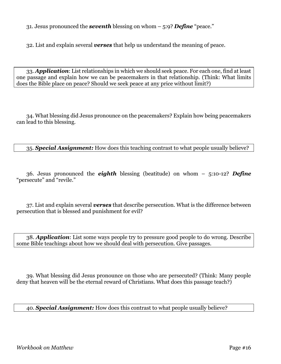31. Jesus pronounced the *seventh* blessing on whom – 5:9? *Define* "peace."

32. List and explain several *verses* that help us understand the meaning of peace.

33. *Application*: List relationships in which we should seek peace. For each one, find at least one passage and explain how we can be peacemakers in that relationship. (Think: What limits does the Bible place on peace? Should we seek peace at any price without limit?)

34. What blessing did Jesus pronounce on the peacemakers? Explain how being peacemakers can lead to this blessing.

35. *Special Assignment:* How does this teaching contrast to what people usually believe?

36. Jesus pronounced the *eighth* blessing (beatitude) on whom – 5:10-12? *Define* "persecute" and "revile."

37. List and explain several *verses* that describe persecution. What is the difference between persecution that is blessed and punishment for evil?

38. *Application*: List some ways people try to pressure good people to do wrong. Describe some Bible teachings about how we should deal with persecution. Give passages.

39. What blessing did Jesus pronounce on those who are persecuted? (Think: Many people deny that heaven will be the eternal reward of Christians. What does this passage teach?)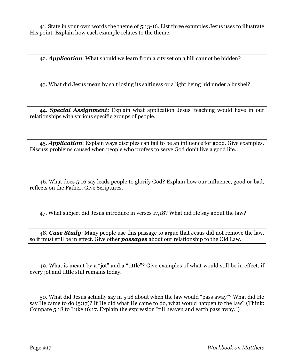41. State in your own words the theme of 5:13-16. List three examples Jesus uses to illustrate His point. Explain how each example relates to the theme.

42. *Application*: What should we learn from a city set on a hill cannot be hidden?

43. What did Jesus mean by salt losing its saltiness or a light being hid under a bushel?

44. *Special Assignment:* Explain what application Jesus' teaching would have in our relationships with various specific groups of people.

45. *Application*: Explain ways disciples can fail to be an influence for good. Give examples. Discuss problems caused when people who profess to serve God don't live a good life.

46. What does 5:16 say leads people to glorify God? Explain how our influence, good or bad, reflects on the Father. Give Scriptures.

47. What subject did Jesus introduce in verses 17,18? What did He say about the law?

48. *Case Study*: Many people use this passage to argue that Jesus did not remove the law, so it must still be in effect. Give other *passages* about our relationship to the Old Law.

49. What is meant by a "jot" and a "tittle"? Give examples of what would still be in effect, if every jot and tittle still remains today.

50. What did Jesus actually say in 5:18 about when the law would "pass away"? What did He say He came to do (5:17)? If He did what He came to do, what would happen to the law? (Think: Compare 5:18 to Luke 16:17. Explain the expression "till heaven and earth pass away.")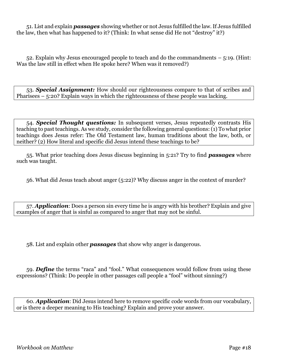51. List and explain *passages* showing whether or not Jesus fulfilled the law. If Jesus fulfilled the law, then what has happened to it? (Think: In what sense did He not "destroy" it?)

52. Explain why Jesus encouraged people to teach and do the commandments – 5:19. (Hint: Was the law still in effect when He spoke here? When was it removed?)

53. *Special Assignment:* How should our righteousness compare to that of scribes and Pharisees – 5:20? Explain ways in which the righteousness of these people was lacking.

54. *Special Thought questions:* In subsequent verses, Jesus repeatedly contrasts His teaching to past teachings. As we study, consider the following general questions: (1) To what prior teachings does Jesus refer: The Old Testament law, human traditions about the law, both, or neither? (2) How literal and specific did Jesus intend these teachings to be?

55. What prior teaching does Jesus discuss beginning in 5:21? Try to find *passages* where such was taught.

56. What did Jesus teach about anger (5:22)? Why discuss anger in the context of murder?

57. *Application*: Does a person sin every time he is angry with his brother? Explain and give examples of anger that is sinful as compared to anger that may not be sinful.

58. List and explain other *passages* that show why anger is dangerous.

59. *Define* the terms "raca" and "fool." What consequences would follow from using these expressions? (Think: Do people in other passages call people a "fool" without sinning?)

60. *Application*: Did Jesus intend here to remove specific code words from our vocabulary, or is there a deeper meaning to His teaching? Explain and prove your answer.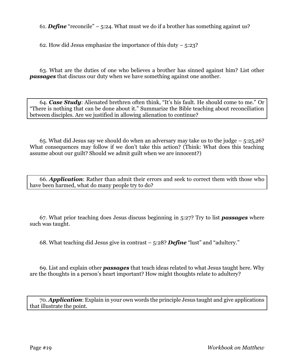61. *Define* "reconcile" – 5:24. What must we do if a brother has something against us?

62. How did Jesus emphasize the importance of this duty  $-5:23$ ?

63. What are the duties of one who believes a brother has sinned against him? List other *passages* that discuss our duty when we have something against one another.

64. *Case Study*: Alienated brethren often think, "It's his fault. He should come to me." Or "There is nothing that can be done about it." Summarize the Bible teaching about reconciliation between disciples. Are we justified in allowing alienation to continue?

65. What did Jesus say we should do when an adversary may take us to the judge – 5:25,26? What consequences may follow if we don't take this action? (Think: What does this teaching assume about our guilt? Should we admit guilt when we are innocent?)

66. *Application*: Rather than admit their errors and seek to correct them with those who have been harmed, what do many people try to do?

67. What prior teaching does Jesus discuss beginning in 5:27? Try to list *passages* where such was taught.

68. What teaching did Jesus give in contrast – 5:28? *Define* "lust" and "adultery."

69. List and explain other *passages* that teach ideas related to what Jesus taught here. Why are the thoughts in a person's heart important? How might thoughts relate to adultery?

70. *Application*: Explain in your own words the principle Jesus taught and give applications that illustrate the point.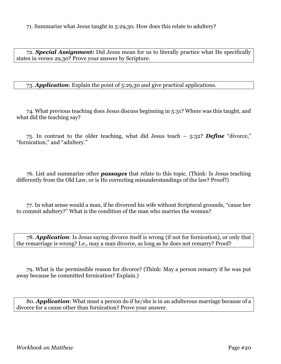71. Summarize what Jesus taught in 5:29,30. How does this relate to adultery?

72. *Special Assignment:* Did Jesus mean for us to literally practice what He specifically states in verses 29,30? Prove your answer by Scripture.

73. *Application*: Explain the point of 5:29,30 and give practical applications.

74. What previous teaching does Jesus discuss beginning in 5:31? Where was this taught, and what did the teaching say?

75. In contrast to the older teaching, what did Jesus teach – 5:32? *Define* "divorce," "fornication," and "adultery."

76. List and summarize other *passages* that relate to this topic. (Think: Is Jesus teaching differently from the Old Law, or is He correcting misunderstandings of the law? Proof?)

77. In what sense would a man, if he divorced his wife without Scriptural grounds, "cause her to commit adultery?" What is the condition of the man who marries the woman?

78. *Application*: Is Jesus saying divorce itself is wrong (if not for fornication), or only that the remarriage is wrong? I.e., may a man divorce, as long as he does not remarry? Proof?

79. What is the permissible reason for divorce? (Think: May a person remarry if he was put away because he committed fornication? Explain.)

80. *Application*: What must a person do if he/she is in an adulterous marriage because of a divorce for a cause other than fornication? Prove your answer.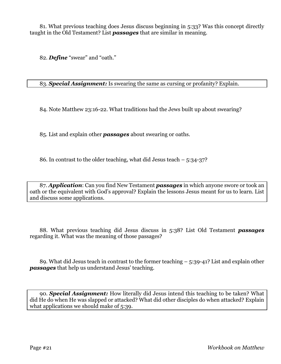81. What previous teaching does Jesus discuss beginning in 5:33? Was this concept directly taught in the Old Testament? List *passages* that are similar in meaning.

82. *Define* "swear" and "oath."

83. *Special Assignment:* Is swearing the same as cursing or profanity? Explain.

84. Note Matthew 23:16-22. What traditions had the Jews built up about swearing?

85. List and explain other *passages* about swearing or oaths.

86. In contrast to the older teaching, what did Jesus teach – 5:34-37?

87. *Application*: Can you find New Testament *passages* in which anyone swore or took an oath or the equivalent with God's approval? Explain the lessons Jesus meant for us to learn. List and discuss some applications.

88. What previous teaching did Jesus discuss in 5:38? List Old Testament *passages* regarding it. What was the meaning of those passages?

89. What did Jesus teach in contrast to the former teaching – 5:39-41? List and explain other *passages* that help us understand Jesus' teaching.

90. *Special Assignment:* How literally did Jesus intend this teaching to be taken? What did He do when He was slapped or attacked? What did other disciples do when attacked? Explain what applications we should make of 5:39.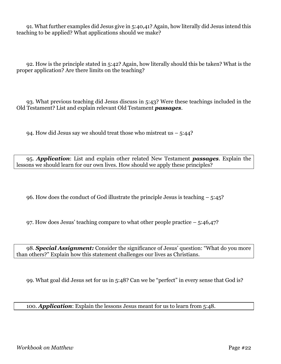91. What further examples did Jesus give in 5:40,41? Again, how literally did Jesus intend this teaching to be applied? What applications should we make?

92. How is the principle stated in 5:42? Again, how literally should this be taken? What is the proper application? Are there limits on the teaching?

93. What previous teaching did Jesus discuss in 5:43? Were these teachings included in the Old Testament? List and explain relevant Old Testament *passages*.

94. How did Jesus say we should treat those who mistreat us  $-$  5:44?

95. *Application*: List and explain other related New Testament *passages*. Explain the lessons we should learn for our own lives. How should we apply these principles?

96. How does the conduct of God illustrate the principle Jesus is teaching – 5:45?

97. How does Jesus' teaching compare to what other people practice  $-5:46,47$ ?

98. *Special Assignment:* Consider the significance of Jesus' question: "What do you more than others?" Explain how this statement challenges our lives as Christians.

99. What goal did Jesus set for us in 5:48? Can we be "perfect" in every sense that God is?

100. *Application*: Explain the lessons Jesus meant for us to learn from 5:48.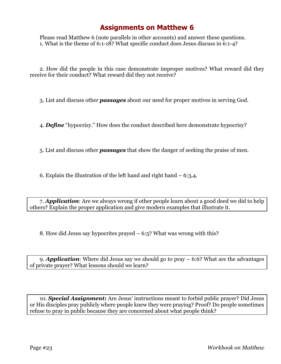Please read Matthew 6 (note parallels in other accounts) and answer these questions. 1. What is the theme of 6:1-18? What specific conduct does Jesus discuss in 6:1-4?

2. How did the people in this case demonstrate improper motives? What reward did they receive for their conduct? What reward did they not receive?

3. List and discuss other *passages* about our need for proper motives in serving God.

4. *Define* "hypocrisy." How does the conduct described here demonstrate hypocrisy?

5. List and discuss other *passages* that show the danger of seeking the praise of men.

6. Explain the illustration of the left hand and right hand  $-6:3,4$ .

7. *Application*: Are we always wrong if other people learn about a good deed we did to help others? Explain the proper application and give modern examples that illustrate it.

8. How did Jesus say hypocrites prayed – 6:5? What was wrong with this?

9. *Application*: Where did Jesus say we should go to pray – 6:6? What are the advantages of private prayer? What lessons should we learn?

10. *Special Assignment:* Are Jesus' instructions meant to forbid public prayer? Did Jesus or His disciples pray publicly where people knew they were praying? Proof? Do people sometimes refuse to pray in public because they are concerned about what people think?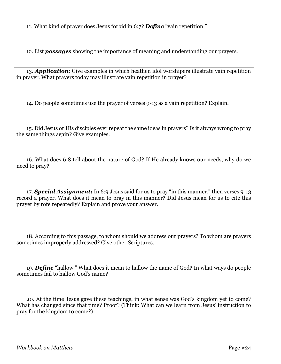11. What kind of prayer does Jesus forbid in 6:7? *Define* "vain repetition."

12. List *passages* showing the importance of meaning and understanding our prayers.

13. *Application*: Give examples in which heathen idol worshipers illustrate vain repetition in prayer. What prayers today may illustrate vain repetition in prayer?

14. Do people sometimes use the prayer of verses 9-13 as a vain repetition? Explain.

15. Did Jesus or His disciples ever repeat the same ideas in prayers? Is it always wrong to pray the same things again? Give examples.

16. What does 6:8 tell about the nature of God? If He already knows our needs, why do we need to pray?

17. *Special Assignment:* In 6:9 Jesus said for us to pray "in this manner," then verses 9-13 record a prayer. What does it mean to pray in this manner? Did Jesus mean for us to cite this prayer by rote repeatedly? Explain and prove your answer.

18. According to this passage, to whom should we address our prayers? To whom are prayers sometimes improperly addressed? Give other Scriptures.

19. *Define* "hallow." What does it mean to hallow the name of God? In what ways do people sometimes fail to hallow God's name?

20. At the time Jesus gave these teachings, in what sense was God's kingdom yet to come? What has changed since that time? Proof? (Think: What can we learn from Jesus' instruction to pray for the kingdom to come?)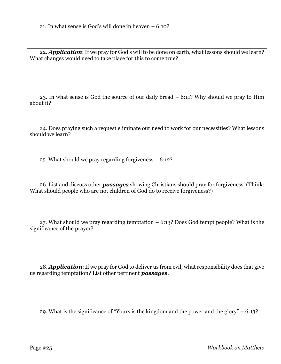22. *Application*: If we pray for God's will to be done on earth, what lessons should we learn? What changes would need to take place for this to come true?

23. In what sense is God the source of our daily bread – 6:11? Why should we pray to Him about it?

24. Does praying such a request eliminate our need to work for our necessities? What lessons should we learn?

25. What should we pray regarding forgiveness – 6:12?

26. List and discuss other *passages* showing Christians should pray for forgiveness. (Think: What should people who are not children of God do to receive forgiveness?)

27. What should we pray regarding temptation – 6:13? Does God tempt people? What is the significance of the prayer?

28. *Application*: If we pray for God to deliver us from evil, what responsibility does that give us regarding temptation? List other pertinent *passages*.

29. What is the significance of "Yours is the kingdom and the power and the glory" – 6:13?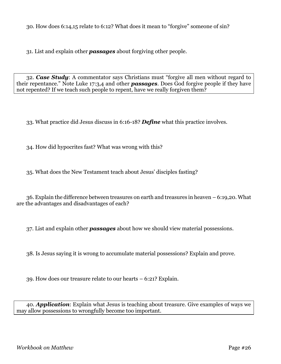30. How does 6:14,15 relate to 6:12? What does it mean to "forgive" someone of sin?

31. List and explain other *passages* about forgiving other people.

32. *Case Study*: A commentator says Christians must "forgive all men without regard to their repentance." Note Luke 17:3,4 and other *passages*. Does God forgive people if they have not repented? If we teach such people to repent, have we really forgiven them?

33. What practice did Jesus discuss in 6:16-18? *Define* what this practice involves.

34. How did hypocrites fast? What was wrong with this?

35. What does the New Testament teach about Jesus' disciples fasting?

36. Explain the difference between treasures on earth and treasures in heaven – 6:19,20. What are the advantages and disadvantages of each?

37. List and explain other *passages* about how we should view material possessions.

38. Is Jesus saying it is wrong to accumulate material possessions? Explain and prove.

39. How does our treasure relate to our hearts – 6:21? Explain.

40. *Application*: Explain what Jesus is teaching about treasure. Give examples of ways we may allow possessions to wrongfully become too important.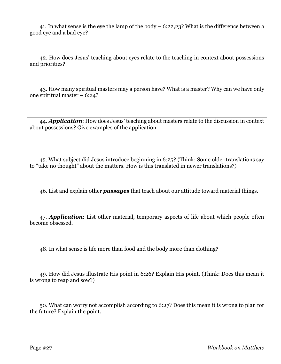41. In what sense is the eye the lamp of the body – 6:22,23? What is the difference between a good eye and a bad eye?

42. How does Jesus' teaching about eyes relate to the teaching in context about possessions and priorities?

43. How many spiritual masters may a person have? What is a master? Why can we have only one spiritual master – 6:24?

44. *Application*: How does Jesus' teaching about masters relate to the discussion in context about possessions? Give examples of the application.

45. What subject did Jesus introduce beginning in 6:25? (Think: Some older translations say to "take no thought" about the matters. How is this translated in newer translations?)

46. List and explain other *passages* that teach about our attitude toward material things.

47. *Application*: List other material, temporary aspects of life about which people often become obsessed.

48. In what sense is life more than food and the body more than clothing?

49. How did Jesus illustrate His point in 6:26? Explain His point. (Think: Does this mean it is wrong to reap and sow?)

50. What can worry not accomplish according to 6:27? Does this mean it is wrong to plan for the future? Explain the point.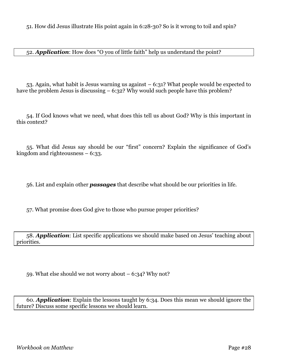51. How did Jesus illustrate His point again in 6:28-30? So is it wrong to toil and spin?

52. *Application*: How does "O you of little faith" help us understand the point?

53. Again, what habit is Jesus warning us against  $-6:31$ ? What people would be expected to have the problem Jesus is discussing  $-6:32$ ? Why would such people have this problem?

54. If God knows what we need, what does this tell us about God? Why is this important in this context?

55. What did Jesus say should be our "first" concern? Explain the significance of God's kingdom and righteousness – 6:33.

56. List and explain other *passages* that describe what should be our priorities in life.

57. What promise does God give to those who pursue proper priorities?

58. *Application*: List specific applications we should make based on Jesus' teaching about priorities.

59. What else should we not worry about  $-6:34$ ? Why not?

60. *Application*: Explain the lessons taught by 6:34. Does this mean we should ignore the future? Discuss some specific lessons we should learn.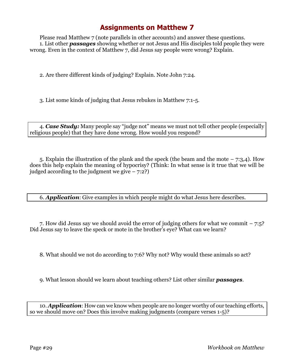Please read Matthew 7 (note parallels in other accounts) and answer these questions. 1. List other *passages* showing whether or not Jesus and His disciples told people they were wrong. Even in the context of Matthew 7, did Jesus say people were wrong? Explain.

2. Are there different kinds of judging? Explain. Note John 7:24.

3. List some kinds of judging that Jesus rebukes in Matthew 7:1-5.

4. *Case Study:* Many people say "judge not" means we must not tell other people (especially religious people) that they have done wrong. How would you respond?

5. Explain the illustration of the plank and the speck (the beam and the mote – 7:3,4). How does this help explain the meaning of hypocrisy? (Think: In what sense is it true that we will be judged according to the judgment we give  $-7:2$ ?

6. *Application*: Give examples in which people might do what Jesus here describes.

7. How did Jesus say we should avoid the error of judging others for what we commit – 7:5? Did Jesus say to leave the speck or mote in the brother's eye? What can we learn?

8. What should we not do according to 7:6? Why not? Why would these animals so act?

9. What lesson should we learn about teaching others? List other similar *passages*.

10. *Application*: How can we know when people are no longer worthy of our teaching efforts, so we should move on? Does this involve making judgments (compare verses 1-5)?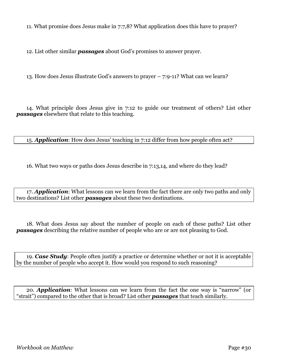11. What promise does Jesus make in 7:7,8? What application does this have to prayer?

12. List other similar *passages* about God's promises to answer prayer.

13. How does Jesus illustrate God's answers to prayer – 7:9-11? What can we learn?

14. What principle does Jesus give in 7:12 to guide our treatment of others? List other *passages* elsewhere that relate to this teaching.

15. *Application*: How does Jesus' teaching in 7:12 differ from how people often act?

16. What two ways or paths does Jesus describe in 7:13,14, and where do they lead?

17. *Application*: What lessons can we learn from the fact there are only two paths and only two destinations? List other *passages* about these two destinations.

18. What does Jesus say about the number of people on each of these paths? List other *passages* describing the relative number of people who are or are not pleasing to God.

19. *Case Study*: People often justify a practice or determine whether or not it is acceptable by the number of people who accept it. How would you respond to such reasoning?

20. *Application*: What lessons can we learn from the fact the one way is "narrow" (or "strait") compared to the other that is broad? List other *passages* that teach similarly.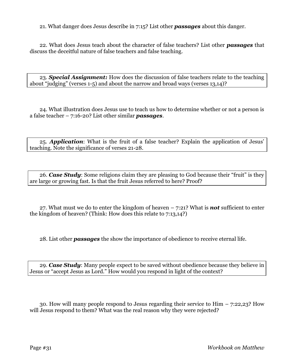21. What danger does Jesus describe in 7:15? List other *passages* about this danger.

22. What does Jesus teach about the character of false teachers? List other *passages* that discuss the deceitful nature of false teachers and false teaching.

23. *Special Assignment:* How does the discussion of false teachers relate to the teaching about "judging" (verses 1-5) and about the narrow and broad ways (verses 13,14)?

24. What illustration does Jesus use to teach us how to determine whether or not a person is a false teacher – 7:16-20? List other similar *passages*.

25. *Application*: What is the fruit of a false teacher? Explain the application of Jesus' teaching. Note the significance of verses 21-28.

26. *Case Study*: Some religions claim they are pleasing to God because their "fruit" is they are large or growing fast. Is that the fruit Jesus referred to here? Proof?

27. What must we do to enter the kingdom of heaven – 7:21? What is *not* sufficient to enter the kingdom of heaven? (Think: How does this relate to 7:13,14?)

28. List other *passages* the show the importance of obedience to receive eternal life.

29. *Case Study*: Many people expect to be saved without obedience because they believe in Jesus or "accept Jesus as Lord." How would you respond in light of the context?

30. How will many people respond to Jesus regarding their service to Him – 7:22,23? How will Jesus respond to them? What was the real reason why they were rejected?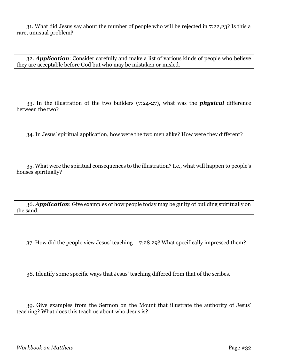31. What did Jesus say about the number of people who will be rejected in 7:22,23? Is this a rare, unusual problem?

32. *Application*: Consider carefully and make a list of various kinds of people who believe they are acceptable before God but who may be mistaken or misled.

33. In the illustration of the two builders (7:24-27), what was the *physical* difference between the two?

34. In Jesus' spiritual application, how were the two men alike? How were they different?

35. What were the spiritual consequences to the illustration? I.e., what will happen to people's houses spiritually?

36. *Application*: Give examples of how people today may be guilty of building spiritually on the sand.

37. How did the people view Jesus' teaching – 7:28,29? What specifically impressed them?

38. Identify some specific ways that Jesus' teaching differed from that of the scribes.

39. Give examples from the Sermon on the Mount that illustrate the authority of Jesus' teaching? What does this teach us about who Jesus is?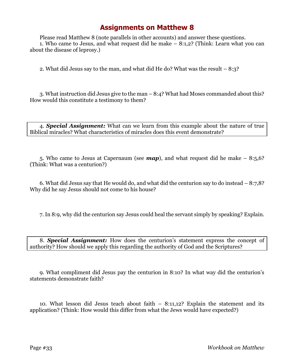Please read Matthew 8 (note parallels in other accounts) and answer these questions. 1. Who came to Jesus, and what request did he make – 8:1,2? (Think: Learn what you can about the disease of leprosy.)

2. What did Jesus say to the man, and what did He do? What was the result – 8:3?

3. What instruction did Jesus give to the man – 8:4? What had Moses commanded about this? How would this constitute a testimony to them?

4. *Special Assignment:* What can we learn from this example about the nature of true Biblical miracles? What characteristics of miracles does this event demonstrate?

5. Who came to Jesus at Capernaum (see *map*), and what request did he make – 8:5,6? (Think: What was a centurion?)

6. What did Jesus say that He would do, and what did the centurion say to do instead – 8:7,8? Why did he say Jesus should not come to his house?

7. In 8:9, why did the centurion say Jesus could heal the servant simply by speaking? Explain.

8. *Special Assignment:* How does the centurion's statement express the concept of authority? How should we apply this regarding the authority of God and the Scriptures?

9. What compliment did Jesus pay the centurion in 8:10? In what way did the centurion's statements demonstrate faith?

10. What lesson did Jesus teach about faith – 8:11,12? Explain the statement and its application? (Think: How would this differ from what the Jews would have expected?)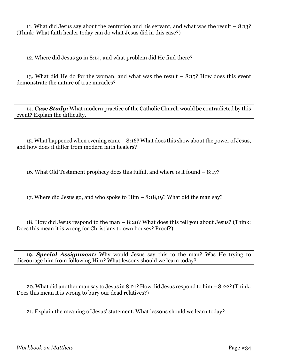11. What did Jesus say about the centurion and his servant, and what was the result – 8:13? (Think: What faith healer today can do what Jesus did in this case?)

12. Where did Jesus go in 8:14, and what problem did He find there?

13. What did He do for the woman, and what was the result – 8:15? How does this event demonstrate the nature of true miracles?

14. *Case Study:* What modern practice of the Catholic Church would be contradicted by this event? Explain the difficulty.

15. What happened when evening came – 8:16? What does this show about the power of Jesus, and how does it differ from modern faith healers?

16. What Old Testament prophecy does this fulfill, and where is it found – 8:17?

17. Where did Jesus go, and who spoke to Him – 8:18,19? What did the man say?

18. How did Jesus respond to the man – 8:20? What does this tell you about Jesus? (Think: Does this mean it is wrong for Christians to own houses? Proof?)

19. *Special Assignment:* Why would Jesus say this to the man? Was He trying to discourage him from following Him? What lessons should we learn today?

20. What did another man say to Jesus in 8:21? How did Jesus respond to him – 8:22? (Think: Does this mean it is wrong to bury our dead relatives?)

21. Explain the meaning of Jesus' statement. What lessons should we learn today?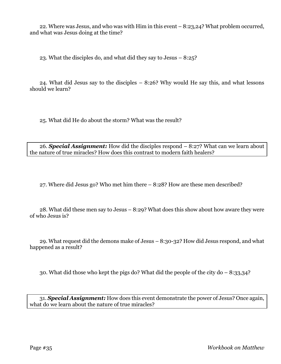22. Where was Jesus, and who was with Him in this event – 8:23,24? What problem occurred, and what was Jesus doing at the time?

23. What the disciples do, and what did they say to Jesus – 8:25?

24. What did Jesus say to the disciples – 8:26? Why would He say this, and what lessons should we learn?

25. What did He do about the storm? What was the result?

26. *Special Assignment:* How did the disciples respond – 8:27? What can we learn about the nature of true miracles? How does this contrast to modern faith healers?

27. Where did Jesus go? Who met him there – 8:28? How are these men described?

28. What did these men say to Jesus – 8:29? What does this show about how aware they were of who Jesus is?

29. What request did the demons make of Jesus – 8:30-32? How did Jesus respond, and what happened as a result?

30. What did those who kept the pigs do? What did the people of the city do – 8:33,34?

31. *Special Assignment:* How does this event demonstrate the power of Jesus? Once again, what do we learn about the nature of true miracles?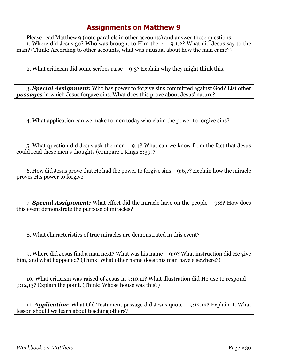Please read Matthew 9 (note parallels in other accounts) and answer these questions. 1. Where did Jesus go? Who was brought to Him there – 9:1,2? What did Jesus say to the man? (Think: According to other accounts, what was unusual about how the man came?)

2. What criticism did some scribes raise  $-9:3$ ? Explain why they might think this.

3. *Special Assignment:* Who has power to forgive sins committed against God? List other *passages* in which Jesus forgave sins. What does this prove about Jesus' nature?

4. What application can we make to men today who claim the power to forgive sins?

5. What question did Jesus ask the men – 9:4? What can we know from the fact that Jesus could read these men's thoughts (compare 1 Kings 8:39)?

6. How did Jesus prove that He had the power to forgive sins – 9:6,7? Explain how the miracle proves His power to forgive.

7. *Special Assignment:* What effect did the miracle have on the people – 9:8? How does this event demonstrate the purpose of miracles?

8. What characteristics of true miracles are demonstrated in this event?

9. Where did Jesus find a man next? What was his name – 9:9? What instruction did He give him, and what happened? (Think: What other name does this man have elsewhere?)

10. What criticism was raised of Jesus in 9:10,11? What illustration did He use to respond – 9:12,13? Explain the point. (Think: Whose house was this?)

11. *Application*: What Old Testament passage did Jesus quote – 9:12,13? Explain it. What lesson should we learn about teaching others?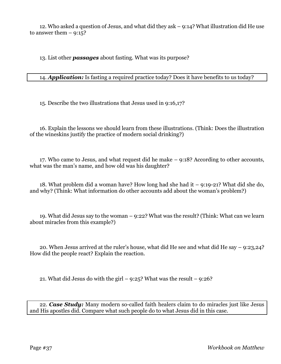12. Who asked a question of Jesus, and what did they ask – 9:14? What illustration did He use to answer them  $-9:15$ ?

13. List other *passages* about fasting. What was its purpose?

#### 14. *Application:* Is fasting a required practice today? Does it have benefits to us today?

15. Describe the two illustrations that Jesus used in 9:16,17?

16. Explain the lessons we should learn from these illustrations. (Think: Does the illustration of the wineskins justify the practice of modern social drinking?)

17. Who came to Jesus, and what request did he make – 9:18? According to other accounts, what was the man's name, and how old was his daughter?

18. What problem did a woman have? How long had she had it – 9:19-21? What did she do, and why? (Think: What information do other accounts add about the woman's problem?)

19. What did Jesus say to the woman – 9:22? What was the result? (Think: What can we learn about miracles from this example?)

20. When Jesus arrived at the ruler's house, what did He see and what did He say – 9:23,24? How did the people react? Explain the reaction.

21. What did Jesus do with the girl –  $9:25$ ? What was the result –  $9:26$ ?

22. *Case Study:* Many modern so-called faith healers claim to do miracles just like Jesus and His apostles did. Compare what such people do to what Jesus did in this case.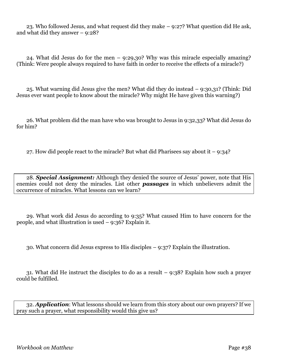23. Who followed Jesus, and what request did they make – 9:27? What question did He ask, and what did they answer – 9:28?

24. What did Jesus do for the men – 9:29,30? Why was this miracle especially amazing? (Think: Were people always required to have faith in order to receive the effects of a miracle?)

25. What warning did Jesus give the men? What did they do instead – 9:30,31? (Think: Did Jesus ever want people to know about the miracle? Why might He have given this warning?)

26. What problem did the man have who was brought to Jesus in 9:32,33? What did Jesus do for him?

27. How did people react to the miracle? But what did Pharisees say about it  $-9:34$ ?

28. *Special Assignment:* Although they denied the source of Jesus' power, note that His enemies could not deny the miracles. List other *passages* in which unbelievers admit the occurrence of miracles. What lessons can we learn?

29. What work did Jesus do according to 9:35? What caused Him to have concern for the people, and what illustration is used – 9:36? Explain it.

30. What concern did Jesus express to His disciples – 9:37? Explain the illustration.

31. What did He instruct the disciples to do as a result – 9:38? Explain how such a prayer could be fulfilled.

32. *Application*: What lessons should we learn from this story about our own prayers? If we pray such a prayer, what responsibility would this give us?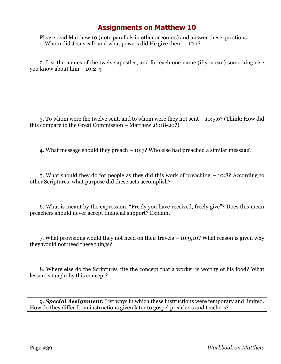Please read Matthew 10 (note parallels in other accounts) and answer these questions. 1. Whom did Jesus call, and what powers did He give them – 10:1?

2. List the names of the twelve apostles, and for each one name (if you can) something else you know about him – 10:2-4.

3. To whom were the twelve sent, and to whom were they not sent – 10:5,6? (Think: How did this compare to the Great Commission – Matthew 28:18-20?)

4. What message should they preach – 10:7? Who else had preached a similar message?

5. What should they do for people as they did this work of preaching – 10:8? According to other Scriptures, what purpose did these acts accomplish?

6. What is meant by the expression, "Freely you have received, freely give"? Does this mean preachers should never accept financial support? Explain.

7. What provisions would they not need on their travels – 10:9,10? What reason is given why they would not need these things?

8. Where else do the Scriptures cite the concept that a worker is worthy of his food? What lesson is taught by this concept?

9. *Special Assignment:* List ways in which these instructions were temporary and limited. How do they differ from instructions given later to gospel preachers and teachers?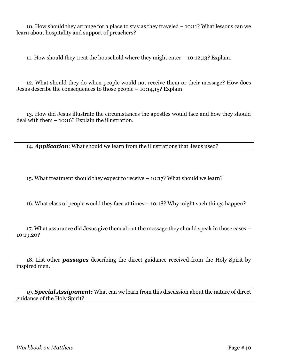10. How should they arrange for a place to stay as they traveled – 10:11? What lessons can we learn about hospitality and support of preachers?

11. How should they treat the household where they might enter – 10:12,13? Explain.

12. What should they do when people would not receive them or their message? How does Jesus describe the consequences to those people – 10:14,15? Explain.

13. How did Jesus illustrate the circumstances the apostles would face and how they should deal with them – 10:16? Explain the illustration.

14. *Application*: What should we learn from the illustrations that Jesus used?

15. What treatment should they expect to receive – 10:17? What should we learn?

16. What class of people would they face at times – 10:18? Why might such things happen?

17. What assurance did Jesus give them about the message they should speak in those cases – 10:19,20?

18. List other *passages* describing the direct guidance received from the Holy Spirit by inspired men.

19. *Special Assignment:* What can we learn from this discussion about the nature of direct guidance of the Holy Spirit?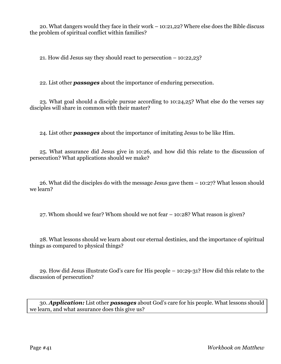20. What dangers would they face in their work – 10:21,22? Where else does the Bible discuss the problem of spiritual conflict within families?

21. How did Jesus say they should react to persecution – 10:22,23?

22. List other *passages* about the importance of enduring persecution.

23. What goal should a disciple pursue according to 10:24,25? What else do the verses say disciples will share in common with their master?

24. List other *passages* about the importance of imitating Jesus to be like Him.

25. What assurance did Jesus give in 10:26, and how did this relate to the discussion of persecution? What applications should we make?

26. What did the disciples do with the message Jesus gave them – 10:27? What lesson should we learn?

27. Whom should we fear? Whom should we not fear – 10:28? What reason is given?

28. What lessons should we learn about our eternal destinies, and the importance of spiritual things as compared to physical things?

29. How did Jesus illustrate God's care for His people – 10:29-31? How did this relate to the discussion of persecution?

30. *Application:* List other *passages* about God's care for his people. What lessons should we learn, and what assurance does this give us?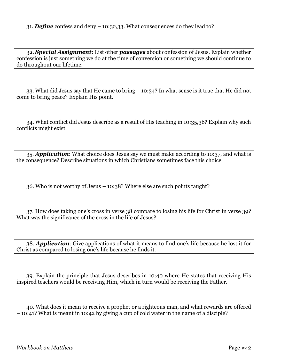32. *Special Assignment:* List other *passages* about confession of Jesus. Explain whether confession is just something we do at the time of conversion or something we should continue to do throughout our lifetime.

33. What did Jesus say that He came to bring – 10:34? In what sense is it true that He did not come to bring peace? Explain His point.

34. What conflict did Jesus describe as a result of His teaching in 10:35,36? Explain why such conflicts might exist.

35. *Application*: What choice does Jesus say we must make according to 10:37, and what is the consequence? Describe situations in which Christians sometimes face this choice.

36. Who is not worthy of Jesus – 10:38? Where else are such points taught?

37. How does taking one's cross in verse 38 compare to losing his life for Christ in verse 39? What was the significance of the cross in the life of Jesus?

38. *Application*: Give applications of what it means to find one's life because he lost it for Christ as compared to losing one's life because he finds it.

39. Explain the principle that Jesus describes in 10:40 where He states that receiving His inspired teachers would be receiving Him, which in turn would be receiving the Father.

40. What does it mean to receive a prophet or a righteous man, and what rewards are offered – 10:41? What is meant in 10:42 by giving a cup of cold water in the name of a disciple?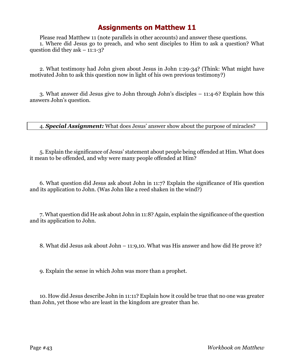Please read Matthew 11 (note parallels in other accounts) and answer these questions. 1. Where did Jesus go to preach, and who sent disciples to Him to ask a question? What question did they ask  $-11:1-3$ ?

2. What testimony had John given about Jesus in John 1:29-34? (Think: What might have motivated John to ask this question now in light of his own previous testimony?)

3. What answer did Jesus give to John through John's disciples – 11:4-6? Explain how this answers John's question.

4. *Special Assignment:* What does Jesus' answer show about the purpose of miracles?

5. Explain the significance of Jesus' statement about people being offended at Him. What does it mean to be offended, and why were many people offended at Him?

6. What question did Jesus ask about John in 11:7? Explain the significance of His question and its application to John. (Was John like a reed shaken in the wind?)

7. What question did He ask about John in 11:8? Again, explain the significance of the question and its application to John.

8. What did Jesus ask about John – 11:9,10. What was His answer and how did He prove it?

9. Explain the sense in which John was more than a prophet.

10. How did Jesus describe John in 11:11? Explain how it could be true that no one was greater than John, yet those who are least in the kingdom are greater than he.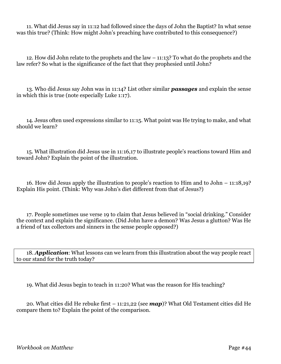11. What did Jesus say in 11:12 had followed since the days of John the Baptist? In what sense was this true? (Think: How might John's preaching have contributed to this consequence?)

12. How did John relate to the prophets and the law – 11:13? To what do the prophets and the law refer? So what is the significance of the fact that they prophesied until John?

13. Who did Jesus say John was in 11:14? List other similar *passages* and explain the sense in which this is true (note especially Luke 1:17).

14. Jesus often used expressions similar to 11:15. What point was He trying to make, and what should we learn?

15. What illustration did Jesus use in 11:16,17 to illustrate people's reactions toward Him and toward John? Explain the point of the illustration.

16. How did Jesus apply the illustration to people's reaction to Him and to John – 11:18,19? Explain His point. (Think: Why was John's diet different from that of Jesus?)

17. People sometimes use verse 19 to claim that Jesus believed in "social drinking." Consider the context and explain the significance. (Did John have a demon? Was Jesus a glutton? Was He a friend of tax collectors and sinners in the sense people opposed?)

18. *Application*: What lessons can we learn from this illustration about the way people react to our stand for the truth today?

19. What did Jesus begin to teach in 11:20? What was the reason for His teaching?

20. What cities did He rebuke first – 11:21,22 (see *map*)? What Old Testament cities did He compare them to? Explain the point of the comparison.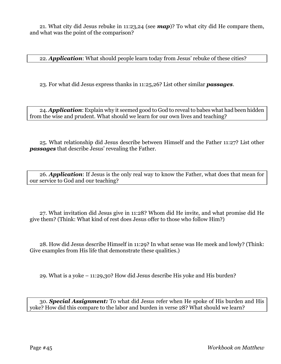21. What city did Jesus rebuke in 11:23,24 (see *map*)? To what city did He compare them, and what was the point of the comparison?

22. *Application*: What should people learn today from Jesus' rebuke of these cities?

23. For what did Jesus express thanks in 11:25,26? List other similar *passages*.

24. *Application*: Explain why it seemed good to God to reveal to babes what had been hidden from the wise and prudent. What should we learn for our own lives and teaching?

25. What relationship did Jesus describe between Himself and the Father 11:27? List other *passages* that describe Jesus' revealing the Father.

26. *Application*: If Jesus is the only real way to know the Father, what does that mean for our service to God and our teaching?

27. What invitation did Jesus give in 11:28? Whom did He invite, and what promise did He give them? (Think: What kind of rest does Jesus offer to those who follow Him?)

28. How did Jesus describe Himself in 11:29? In what sense was He meek and lowly? (Think: Give examples from His life that demonstrate these qualities.)

29. What is a yoke – 11:29,30? How did Jesus describe His yoke and His burden?

30. *Special Assignment:* To what did Jesus refer when He spoke of His burden and His yoke? How did this compare to the labor and burden in verse 28? What should we learn?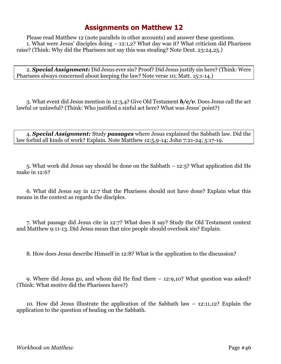Please read Matthew 12 (note parallels in other accounts) and answer these questions. 1. What were Jesus' disciples doing – 12:1,2? What day was it? What criticism did Pharisees raise? (Think: Why did the Pharisees not say this was stealing? Note Deut. 23:24,25.)

2. *Special Assignment:* Did Jesus ever sin? Proof? Did Jesus justify sin here? (Think: Were Pharisees always concerned about keeping the law? Note verse 10; Matt. 15:1-14.)

3. What event did Jesus mention in 12:3,4? Give Old Testament *b/c/v*. Does Jesus call the act lawful or unlawful? (Think: Who justified a sinful act here? What was Jesus' point?)

4. *Special Assignment:* Study *passages* where Jesus explained the Sabbath law. Did the law forbid all kinds of work? Explain. Note Matthew 12:5,9-14; John 7:21-24; 5:17-19.

5. What work did Jesus say should be done on the Sabbath – 12:5? What application did He make in 12:6?

6. What did Jesus say in 12:7 that the Pharisees should not have done? Explain what this means in the context as regards the disciples.

7. What passage did Jesus cite in 12:7? What does it say? Study the Old Testament context and Matthew 9:11-13. Did Jesus mean that nice people should overlook sin? Explain.

8. How does Jesus describe Himself in 12:8? What is the application to the discussion?

9. Where did Jesus go, and whom did He find there – 12:9,10? What question was asked? (Think: What motive did the Pharisees have?)

10. How did Jesus illustrate the application of the Sabbath law – 12:11,12? Explain the application to the question of healing on the Sabbath.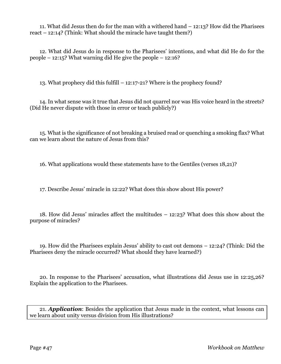11. What did Jesus then do for the man with a withered hand – 12:13? How did the Pharisees react – 12:14? (Think: What should the miracle have taught them?)

12. What did Jesus do in response to the Pharisees' intentions, and what did He do for the people – 12:15? What warning did He give the people – 12:16?

13. What prophecy did this fulfill – 12:17-21? Where is the prophecy found?

14. In what sense was it true that Jesus did not quarrel nor was His voice heard in the streets? (Did He never dispute with those in error or teach publicly?)

15. What is the significance of not breaking a bruised read or quenching a smoking flax? What can we learn about the nature of Jesus from this?

16. What applications would these statements have to the Gentiles (verses 18,21)?

17. Describe Jesus' miracle in 12:22? What does this show about His power?

18. How did Jesus' miracles affect the multitudes – 12:23? What does this show about the purpose of miracles?

19. How did the Pharisees explain Jesus' ability to cast out demons – 12:24? (Think: Did the Pharisees deny the miracle occurred? What should they have learned?)

20. In response to the Pharisees' accusation, what illustrations did Jesus use in 12:25,26? Explain the application to the Pharisees.

21. *Application*: Besides the application that Jesus made in the context, what lessons can we learn about unity versus division from His illustrations?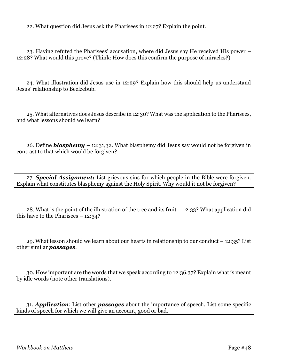22. What question did Jesus ask the Pharisees in 12:27? Explain the point.

23. Having refuted the Pharisees' accusation, where did Jesus say He received His power – 12:28? What would this prove? (Think: How does this confirm the purpose of miracles?)

24. What illustration did Jesus use in 12:29? Explain how this should help us understand Jesus' relationship to Beelzebub.

25. What alternatives does Jesus describe in 12:30? What was the application to the Pharisees, and what lessons should we learn?

26. Define *blasphemy* – 12:31,32. What blasphemy did Jesus say would not be forgiven in contrast to that which would be forgiven?

27. *Special Assignment:* List grievous sins for which people in the Bible were forgiven. Explain what constitutes blasphemy against the Holy Spirit. Why would it not be forgiven?

28. What is the point of the illustration of the tree and its fruit – 12:33? What application did this have to the Pharisees  $-12:34?$ 

29. What lesson should we learn about our hearts in relationship to our conduct – 12:35? List other similar *passages*.

30. How important are the words that we speak according to 12:36,37? Explain what is meant by idle words (note other translations).

31. *Application*: List other *passages* about the importance of speech. List some specific kinds of speech for which we will give an account, good or bad.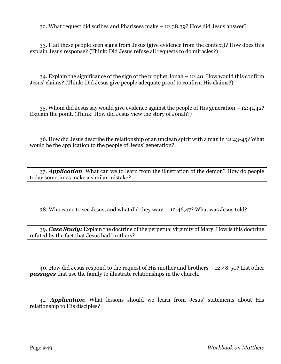32. What request did scribes and Pharisees make – 12:38,39? How did Jesus answer?

33. Had these people seen signs from Jesus (give evidence from the context)? How does this explain Jesus response? (Think: Did Jesus refuse all requests to do miracles?)

34. Explain the significance of the sign of the prophet Jonah – 12:40. How would this confirm Jesus' claims? (Think: Did Jesus give people adequate proof to confirm His claims?)

35. Whom did Jesus say would give evidence against the people of His generation – 12:41,42? Explain the point. (Think: How did Jesus view the story of Jonah?)

36. How did Jesus describe the relationship of an unclean spirit with a man in 12:43-45? What would be the application to the people of Jesus' generation?

37. *Application*: What can we to learn from the illustration of the demon? How do people today sometimes make a similar mistake?

38. Who came to see Jesus, and what did they want – 12:46,47? What was Jesus told?

39. *Case Study:* Explain the doctrine of the perpetual virginity of Mary. How is this doctrine refuted by the fact that Jesus had brothers?

40. How did Jesus respond to the request of His mother and brothers – 12:48-50? List other *passages* that use the family to illustrate relationships in the church.

41. *Application*: What lessons should we learn from Jesus' statements about His relationship to His disciples?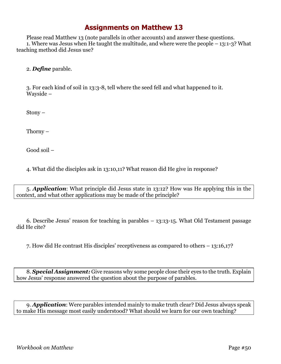Please read Matthew 13 (note parallels in other accounts) and answer these questions. 1. Where was Jesus when He taught the multitude, and where were the people – 13:1-3? What teaching method did Jesus use?

2. *Define* parable.

3. For each kind of soil in 13:3-8, tell where the seed fell and what happened to it. Wayside –

Stony –

Thorny –

Good soil –

4. What did the disciples ask in 13:10,11? What reason did He give in response?

5. *Application*: What principle did Jesus state in 13:12? How was He applying this in the context, and what other applications may be made of the principle?

6. Describe Jesus' reason for teaching in parables – 13:13-15. What Old Testament passage did He cite?

7. How did He contrast His disciples' receptiveness as compared to others – 13:16,17?

8. *Special Assignment:* Give reasons why some people close their eyes to the truth. Explain how Jesus' response answered the question about the purpose of parables.

9. *Application*: Were parables intended mainly to make truth clear? Did Jesus always speak to make His message most easily understood? What should we learn for our own teaching?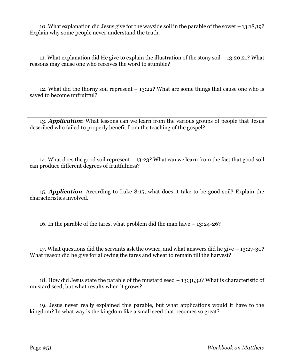10. What explanation did Jesus give for the wayside soil in the parable of the sower – 13:18,19? Explain why some people never understand the truth.

11. What explanation did He give to explain the illustration of the stony soil – 13:20,21? What reasons may cause one who receives the word to stumble?

12. What did the thorny soil represent – 13:22? What are some things that cause one who is saved to become unfruitful?

13. *Application*: What lessons can we learn from the various groups of people that Jesus described who failed to properly benefit from the teaching of the gospel?

14. What does the good soil represent – 13:23? What can we learn from the fact that good soil can produce different degrees of fruitfulness?

15. *Application*: According to Luke 8:15, what does it take to be good soil? Explain the characteristics involved.

16. In the parable of the tares, what problem did the man have – 13:24-26?

17. What questions did the servants ask the owner, and what answers did he give – 13:27-30? What reason did he give for allowing the tares and wheat to remain till the harvest?

18. How did Jesus state the parable of the mustard seed – 13:31,32? What is characteristic of mustard seed, but what results when it grows?

19. Jesus never really explained this parable, but what applications would it have to the kingdom? In what way is the kingdom like a small seed that becomes so great?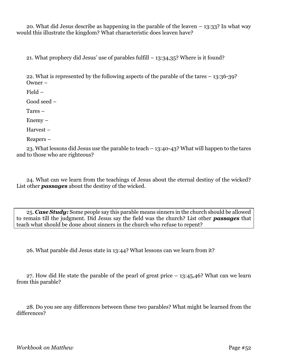20. What did Jesus describe as happening in the parable of the leaven – 13:33? In what way would this illustrate the kingdom? What characteristic does leaven have?

21. What prophecy did Jesus' use of parables fulfill – 13:34,35? Where is it found?

22. What is represented by the following aspects of the parable of the tares – 13:36-39? Owner –

Field –

Good seed –

Tares –

Enemy –

Harvest –

Reapers –

23. What lessons did Jesus use the parable to teach – 13:40-43? What will happen to the tares and to those who are righteous?

24. What can we learn from the teachings of Jesus about the eternal destiny of the wicked? List other *passages* about the destiny of the wicked.

25. *Case Study:* Some people say this parable means sinners in the church should be allowed to remain till the judgment. Did Jesus say the field was the church? List other *passages* that teach what should be done about sinners in the church who refuse to repent?

26. What parable did Jesus state in 13:44? What lessons can we learn from it?

27. How did He state the parable of the pearl of great price – 13:45,46? What can we learn from this parable?

28. Do you see any differences between these two parables? What might be learned from the differences?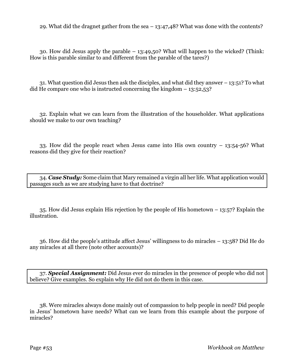29. What did the dragnet gather from the sea – 13:47,48? What was done with the contents?

30. How did Jesus apply the parable – 13:49,50? What will happen to the wicked? (Think: How is this parable similar to and different from the parable of the tares?)

31. What question did Jesus then ask the disciples, and what did they answer – 13:51? To what did He compare one who is instructed concerning the kingdom  $-13:52,53$ ?

32. Explain what we can learn from the illustration of the householder. What applications should we make to our own teaching?

33. How did the people react when Jesus came into His own country – 13:54-56? What reasons did they give for their reaction?

34. *Case Study:* Some claim that Mary remained a virgin all her life. What application would passages such as we are studying have to that doctrine?

35. How did Jesus explain His rejection by the people of His hometown – 13:57? Explain the illustration.

36. How did the people's attitude affect Jesus' willingness to do miracles – 13:58? Did He do any miracles at all there (note other accounts)?

37. *Special Assignment:* Did Jesus ever do miracles in the presence of people who did not believe? Give examples. So explain why He did not do them in this case.

38. Were miracles always done mainly out of compassion to help people in need? Did people in Jesus' hometown have needs? What can we learn from this example about the purpose of miracles?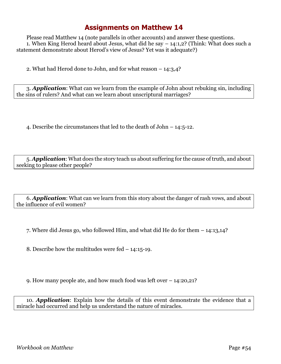Please read Matthew 14 (note parallels in other accounts) and answer these questions. 1. When King Herod heard about Jesus, what did he say – 14:1,2? (Think: What does such a statement demonstrate about Herod's view of Jesus? Yet was it adequate?)

2. What had Herod done to John, and for what reason – 14:3,4?

3. *Application*: What can we learn from the example of John about rebuking sin, including the sins of rulers? And what can we learn about unscriptural marriages?

4. Describe the circumstances that led to the death of John – 14:5-12.

5. *Application*: What does the story teach us about suffering for the cause of truth, and about seeking to please other people?

6. *Application*: What can we learn from this story about the danger of rash vows, and about the influence of evil women?

7. Where did Jesus go, who followed Him, and what did He do for them – 14:13,14?

8. Describe how the multitudes were fed – 14:15-19.

9. How many people ate, and how much food was left over – 14:20,21?

10. *Application*: Explain how the details of this event demonstrate the evidence that a miracle had occurred and help us understand the nature of miracles.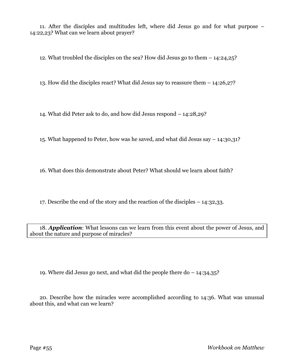11. After the disciples and multitudes left, where did Jesus go and for what purpose – 14:22,23? What can we learn about prayer?

12. What troubled the disciples on the sea? How did Jesus go to them – 14:24,25?

13. How did the disciples react? What did Jesus say to reassure them – 14:26,27?

14. What did Peter ask to do, and how did Jesus respond – 14:28,29?

15. What happened to Peter, how was he saved, and what did Jesus say – 14:30,31?

16. What does this demonstrate about Peter? What should we learn about faith?

17. Describe the end of the story and the reaction of the disciples – 14:32,33.

18. *Application*: What lessons can we learn from this event about the power of Jesus, and about the nature and purpose of miracles?

19. Where did Jesus go next, and what did the people there do – 14:34,35?

20. Describe how the miracles were accomplished according to 14:36. What was unusual about this, and what can we learn?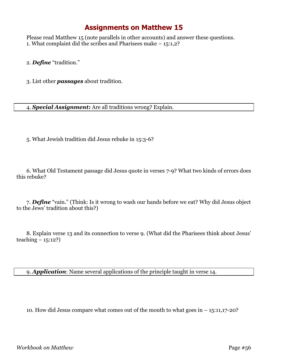Please read Matthew 15 (note parallels in other accounts) and answer these questions. 1. What complaint did the scribes and Pharisees make – 15:1,2?

2. *Define* "tradition."

3. List other *passages* about tradition.

4. *Special Assignment:* Are all traditions wrong? Explain.

5. What Jewish tradition did Jesus rebuke in 15:3-6?

6. What Old Testament passage did Jesus quote in verses 7-9? What two kinds of errors does this rebuke?

7. *Define* "vain." (Think: Is it wrong to wash our hands before we eat? Why did Jesus object to the Jews' tradition about this?)

8. Explain verse 13 and its connection to verse 9. (What did the Pharisees think about Jesus' teaching – 15:12?)

9. *Application*: Name several applications of the principle taught in verse 14.

10. How did Jesus compare what comes out of the mouth to what goes in – 15:11,17-20?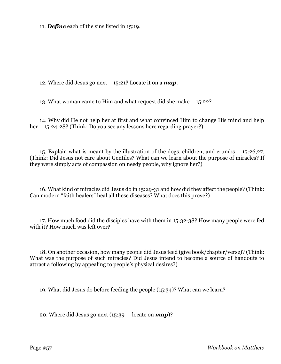11. *Define* each of the sins listed in 15:19.

12. Where did Jesus go next – 15:21? Locate it on a *map*.

13. What woman came to Him and what request did she make – 15:22?

14. Why did He not help her at first and what convinced Him to change His mind and help her – 15:24-28? (Think: Do you see any lessons here regarding prayer?)

15. Explain what is meant by the illustration of the dogs, children, and crumbs – 15:26,27. (Think: Did Jesus not care about Gentiles? What can we learn about the purpose of miracles? If they were simply acts of compassion on needy people, why ignore her?)

16. What kind of miracles did Jesus do in 15:29-31 and how did they affect the people? (Think: Can modern "faith healers" heal all these diseases? What does this prove?)

17. How much food did the disciples have with them in 15:32-38? How many people were fed with it? How much was left over?

18. On another occasion, how many people did Jesus feed (give book/chapter/verse)? (Think: What was the purpose of such miracles? Did Jesus intend to become a source of handouts to attract a following by appealing to people's physical desires?)

19. What did Jesus do before feeding the people (15:34)? What can we learn?

20. Where did Jesus go next (15:39 — locate on *map*)?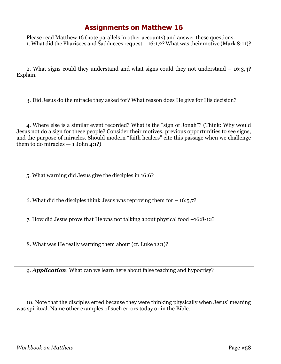Please read Matthew 16 (note parallels in other accounts) and answer these questions. 1. What did the Pharisees and Sadducees request – 16:1,2? What was their motive (Mark 8:11)?

2. What signs could they understand and what signs could they not understand – 16:3,4? Explain.

3. Did Jesus do the miracle they asked for? What reason does He give for His decision?

4. Where else is a similar event recorded? What is the "sign of Jonah"? (Think: Why would Jesus not do a sign for these people? Consider their motives, previous opportunities to see signs, and the purpose of miracles. Should modern "faith healers" cite this passage when we challenge them to do miracles  $-1$  John 4:1?)

5. What warning did Jesus give the disciples in 16:6?

6. What did the disciples think Jesus was reproving them for  $-16:5,7$ ?

7. How did Jesus prove that He was not talking about physical food –16:8-12?

8. What was He really warning them about (cf. Luke 12:1)?

9. *Application*: What can we learn here about false teaching and hypocrisy?

10. Note that the disciples erred because they were thinking physically when Jesus' meaning was spiritual. Name other examples of such errors today or in the Bible.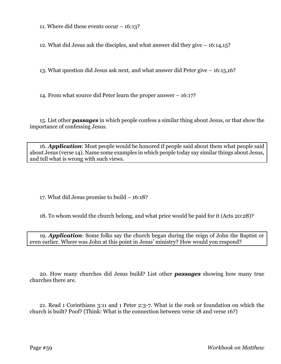11. Where did these events occur – 16:13?

12. What did Jesus ask the disciples, and what answer did they give – 16:14,15?

13. What question did Jesus ask next, and what answer did Peter give – 16:15,16?

14. From what source did Peter learn the proper answer – 16:17?

15. List other *passages* in which people confess a similar thing about Jesus, or that show the importance of confessing Jesus.

16. *Application*: Most people would be honored if people said about them what people said about Jesus (verse 14). Name some examples in which people today say similar things about Jesus, and tell what is wrong with such views.

17. What did Jesus promise to build – 16:18?

18. To whom would the church belong, and what price would be paid for it (Acts 20:28)?

19. *Application*: Some folks say the church began during the reign of John the Baptist or even earlier. Where was John at this point in Jesus' ministry? How would you respond?

20. How many churches did Jesus build? List other *passages* showing how many true churches there are.

21. Read 1 Corinthians 3:11 and 1 Peter 2:3-7. What is the rock or foundation on which the church is built? Poof? (Think: What is the connection between verse 18 and verse 16?)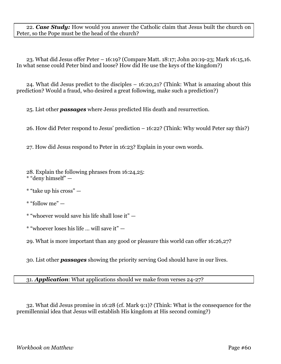22. *Case Study:* How would you answer the Catholic claim that Jesus built the church on Peter, so the Pope must be the head of the church?

23. What did Jesus offer Peter – 16:19? (Compare Matt. 18:17; John 20:19-23; Mark 16:15,16. In what sense could Peter bind and loose? How did He use the keys of the kingdom?)

24. What did Jesus predict to the disciples – 16:20,21? (Think: What is amazing about this prediction? Would a fraud, who desired a great following, make such a prediction?)

25. List other *passages* where Jesus predicted His death and resurrection.

26. How did Peter respond to Jesus' prediction – 16:22? (Think: Why would Peter say this?)

27. How did Jesus respond to Peter in 16:23? Explain in your own words.

28. Explain the following phrases from 16:24,25: \* "deny himself" —

\* "take up his cross" —

\* "follow me" —

\* "whoever would save his life shall lose it" —

\* "whoever loses his life … will save it" —

29. What is more important than any good or pleasure this world can offer 16:26,27?

30. List other *passages* showing the priority serving God should have in our lives.

31. *Application*: What applications should we make from verses 24-27?

32. What did Jesus promise in 16:28 (cf. Mark 9:1)? (Think: What is the consequence for the premillennial idea that Jesus will establish His kingdom at His second coming?)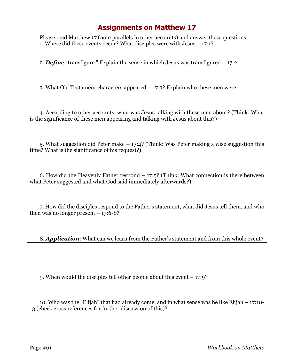Please read Matthew 17 (note parallels in other accounts) and answer these questions. 1. Where did these events occur? What disciples were with Jesus – 17:1?

2. *Define* "transfigure." Explain the sense in which Jesus was transfigured – 17:2.

3. What Old Testament characters appeared – 17:3? Explain who these men were.

4. According to other accounts, what was Jesus talking with these men about? (Think: What is the significance of these men appearing and talking with Jesus about this?)

5. What suggestion did Peter make – 17:4? (Think: Was Peter making a wise suggestion this time? What is the significance of his request?)

6. How did the Heavenly Father respond  $-17:5$ ? (Think: What connection is there between what Peter suggested and what God said immediately afterwards?)

7. How did the disciples respond to the Father's statement, what did Jesus tell them, and who then was no longer present  $-17:6-8$ ?

8. *Application*: What can we learn from the Father's statement and from this whole event?

9. When would the disciples tell other people about this event – 17:9?

10. Who was the "Elijah" that had already come, and in what sense was he like Elijah – 17:10- 13 (check cross references for further discussion of this)?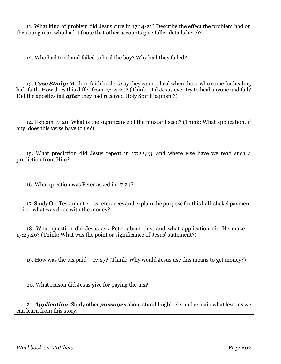11. What kind of problem did Jesus cure in 17:14-21? Describe the effect the problem had on the young man who had it (note that other accounts give fuller details here)?

12. Who had tried and failed to heal the boy? Why had they failed?

13. *Case Study:* Modern faith healers say they cannot heal when those who come for healing lack faith. How does this differ from 17:14-20? (Think: Did Jesus ever try to heal anyone and fail? Did the apostles fail *after* they had received Holy Spirit baptism?)

14. Explain 17:20. What is the significance of the mustard seed? (Think: What application, if any, does this verse have to us?)

15. What prediction did Jesus repeat in 17:22,23, and where else have we read such a prediction from Him?

16. What question was Peter asked in 17:24?

17. Study Old Testament cross references and explain the purpose for this half-shekel payment — i.e., what was done with the money?

18. What question did Jesus ask Peter about this, and what application did He make – 17:25,26? (Think: What was the point or significance of Jesus' statement?)

19. How was the tax paid  $-17:27$ ? (Think: Why would Jesus use this means to get money?)

20. What reason did Jesus give for paying the tax?

21. *Application*: Study other *passages* about stumblingblocks and explain what lessons we can learn from this story.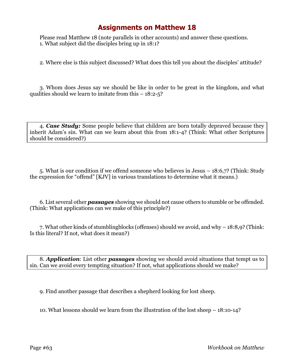Please read Matthew 18 (note parallels in other accounts) and answer these questions. 1. What subject did the disciples bring up in 18:1?

2. Where else is this subject discussed? What does this tell you about the disciples' attitude?

3. Whom does Jesus say we should be like in order to be great in the kingdom, and what qualities should we learn to imitate from this  $-18:2-5$ ?

4. *Case Study:* Some people believe that children are born totally depraved because they inherit Adam's sin. What can we learn about this from 18:1-4? (Think: What other Scriptures should be considered?)

5. What is our condition if we offend someone who believes in Jesus – 18:6,7? (Think: Study the expression for "offend" [KJV] in various translations to determine what it means.)

6. List several other *passages* showing we should not cause others to stumble or be offended. (Think: What applications can we make of this principle?)

7. What other kinds of stumblingblocks (offenses) should we avoid, and why – 18:8,9? (Think: Is this literal? If not, what does it mean?)

8. *Application*: List other *passages* showing we should avoid situations that tempt us to sin. Can we avoid every tempting situation? If not, what applications should we make?

9. Find another passage that describes a shepherd looking for lost sheep.

10. What lessons should we learn from the illustration of the lost sheep – 18:10-14?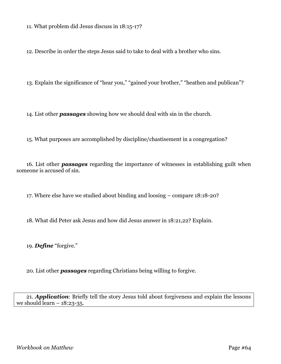11. What problem did Jesus discuss in 18:15-17?

12. Describe in order the steps Jesus said to take to deal with a brother who sins.

13. Explain the significance of "hear you," "gained your brother," "heathen and publican"?

14. List other *passages* showing how we should deal with sin in the church.

15. What purposes are accomplished by discipline/chastisement in a congregation?

16. List other *passages* regarding the importance of witnesses in establishing guilt when someone is accused of sin.

17. Where else have we studied about binding and loosing – compare 18:18-20?

18. What did Peter ask Jesus and how did Jesus answer in 18:21,22? Explain.

19. *Define* "forgive."

20. List other *passages* regarding Christians being willing to forgive.

21. *Application*: Briefly tell the story Jesus told about forgiveness and explain the lessons we should learn  $-18:23-35$ .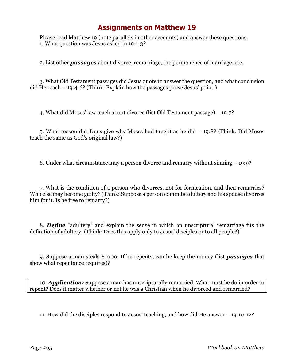Please read Matthew 19 (note parallels in other accounts) and answer these questions. 1. What question was Jesus asked in 19:1-3?

2. List other *passages* about divorce, remarriage, the permanence of marriage, etc.

3. What Old Testament passages did Jesus quote to answer the question, and what conclusion did He reach – 19:4-6? (Think: Explain how the passages prove Jesus' point.)

4. What did Moses' law teach about divorce (list Old Testament passage) – 19:7?

5. What reason did Jesus give why Moses had taught as he did – 19:8? (Think: Did Moses teach the same as God's original law?)

6. Under what circumstance may a person divorce and remarry without sinning – 19:9?

7. What is the condition of a person who divorces, not for fornication, and then remarries? Who else may become guilty? (Think: Suppose a person commits adultery and his spouse divorces him for it. Is he free to remarry?)

8. *Define* "adultery" and explain the sense in which an unscriptural remarriage fits the definition of adultery. (Think: Does this apply only to Jesus' disciples or to all people?)

9. Suppose a man steals \$1000. If he repents, can he keep the money (list *passages* that show what repentance requires)?

10. *Application:* Suppose a man has unscripturally remarried. What must he do in order to repent? Does it matter whether or not he was a Christian when he divorced and remarried?

11. How did the disciples respond to Jesus' teaching, and how did He answer – 19:10-12?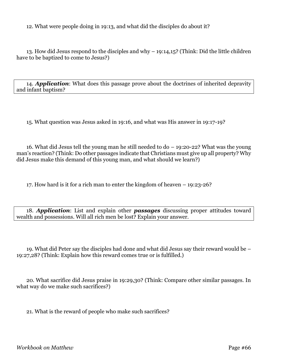12. What were people doing in 19:13, and what did the disciples do about it?

13. How did Jesus respond to the disciples and why – 19:14,15? (Think: Did the little children have to be baptized to come to Jesus?)

14. *Application*: What does this passage prove about the doctrines of inherited depravity and infant baptism?

15. What question was Jesus asked in 19:16, and what was His answer in 19:17-19?

16. What did Jesus tell the young man he still needed to do – 19:20-22? What was the young man's reaction? (Think: Do other passages indicate that Christians must give up all property? Why did Jesus make this demand of this young man, and what should we learn?)

17. How hard is it for a rich man to enter the kingdom of heaven – 19:23-26?

18. *Application*: List and explain other *passages* discussing proper attitudes toward wealth and possessions. Will all rich men be lost? Explain your answer.

19. What did Peter say the disciples had done and what did Jesus say their reward would be – 19:27,28? (Think: Explain how this reward comes true or is fulfilled.)

20. What sacrifice did Jesus praise in 19:29,30? (Think: Compare other similar passages. In what way do we make such sacrifices?)

21. What is the reward of people who make such sacrifices?

*Workbook on Matthew* Page #66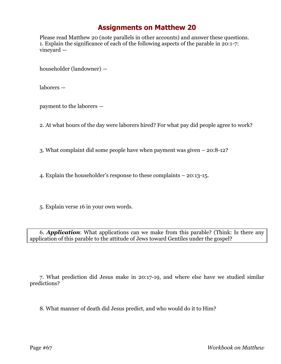Please read Matthew 20 (note parallels in other accounts) and answer these questions. 1. Explain the significance of each of the following aspects of the parable in 20:1-7: vineyard —

householder (landowner) —

laborers —

payment to the laborers —

2. At what hours of the day were laborers hired? For what pay did people agree to work?

3. What complaint did some people have when payment was given – 20:8-12?

4. Explain the householder's response to these complaints – 20:13-15.

5. Explain verse 16 in your own words.

6. *Application*: What applications can we make from this parable? (Think: Is there any application of this parable to the attitude of Jews toward Gentiles under the gospel?

7. What prediction did Jesus make in 20:17-19, and where else have we studied similar predictions?

8. What manner of death did Jesus predict, and who would do it to Him?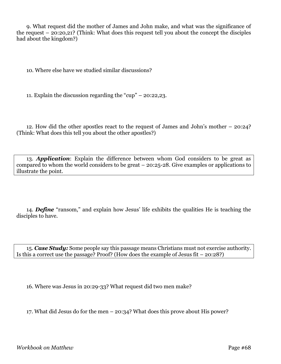9. What request did the mother of James and John make, and what was the significance of the request – 20:20,21? (Think: What does this request tell you about the concept the disciples had about the kingdom?)

10. Where else have we studied similar discussions?

11. Explain the discussion regarding the "cup" – 20:22,23.

12. How did the other apostles react to the request of James and John's mother – 20:24? (Think: What does this tell you about the other apostles?)

13. *Application*: Explain the difference between whom God considers to be great as compared to whom the world considers to be great – 20:25-28. Give examples or applications to illustrate the point.

14. *Define* "ransom," and explain how Jesus' life exhibits the qualities He is teaching the disciples to have.

15. *Case Study:* Some people say this passage means Christians must not exercise authority. Is this a correct use the passage? Proof? (How does the example of Jesus fit – 20:28?)

16. Where was Jesus in 20:29-33? What request did two men make?

17. What did Jesus do for the men – 20:34? What does this prove about His power?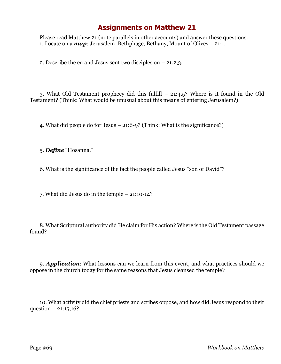Please read Matthew 21 (note parallels in other accounts) and answer these questions. 1. Locate on a *map*: Jerusalem, Bethphage, Bethany, Mount of Olives – 21:1.

2. Describe the errand Jesus sent two disciples on – 21:2,3.

3. What Old Testament prophecy did this fulfill – 21:4,5? Where is it found in the Old Testament? (Think: What would be unusual about this means of entering Jerusalem?)

4. What did people do for Jesus – 21:6-9? (Think: What is the significance?)

5. *Define* "Hosanna."

6. What is the significance of the fact the people called Jesus "son of David"?

7. What did Jesus do in the temple – 21:10-14?

8. What Scriptural authority did He claim for His action? Where is the Old Testament passage found?

9. *Application*: What lessons can we learn from this event, and what practices should we oppose in the church today for the same reasons that Jesus cleansed the temple?

10. What activity did the chief priests and scribes oppose, and how did Jesus respond to their question –  $21:15,16?$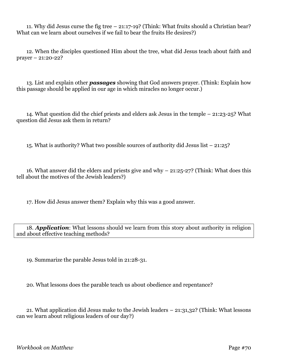11. Why did Jesus curse the fig tree – 21:17-19? (Think: What fruits should a Christian bear? What can we learn about ourselves if we fail to bear the fruits He desires?)

12. When the disciples questioned Him about the tree, what did Jesus teach about faith and prayer – 21:20-22?

13. List and explain other *passages* showing that God answers prayer. (Think: Explain how this passage should be applied in our age in which miracles no longer occur.)

14. What question did the chief priests and elders ask Jesus in the temple – 21:23-25? What question did Jesus ask them in return?

15. What is authority? What two possible sources of authority did Jesus list – 21:25?

16. What answer did the elders and priests give and why – 21:25-27? (Think: What does this tell about the motives of the Jewish leaders?)

17. How did Jesus answer them? Explain why this was a good answer.

18. *Application*: What lessons should we learn from this story about authority in religion and about effective teaching methods?

19. Summarize the parable Jesus told in 21:28-31.

20. What lessons does the parable teach us about obedience and repentance?

21. What application did Jesus make to the Jewish leaders – 21:31,32? (Think: What lessons can we learn about religious leaders of our day?)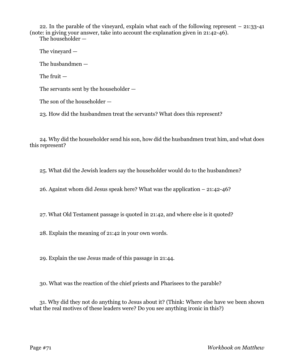22. In the parable of the vineyard, explain what each of the following represent – 21:33-41 (note: in giving your answer, take into account the explanation given in 21:42-46).

The householder —

The vineyard —

The husbandmen —

The fruit —

The servants sent by the householder —

The son of the householder —

23. How did the husbandmen treat the servants? What does this represent?

24. Why did the householder send his son, how did the husbandmen treat him, and what does this represent?

25. What did the Jewish leaders say the householder would do to the husbandmen?

26. Against whom did Jesus speak here? What was the application – 21:42-46?

27. What Old Testament passage is quoted in 21:42, and where else is it quoted?

28. Explain the meaning of 21:42 in your own words.

29. Explain the use Jesus made of this passage in 21:44.

30. What was the reaction of the chief priests and Pharisees to the parable?

31. Why did they not do anything to Jesus about it? (Think: Where else have we been shown what the real motives of these leaders were? Do you see anything ironic in this?)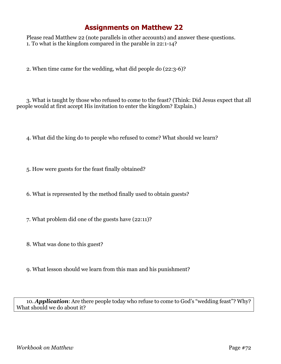Please read Matthew 22 (note parallels in other accounts) and answer these questions. 1. To what is the kingdom compared in the parable in 22:1-14?

2. When time came for the wedding, what did people do (22:3-6)?

3. What is taught by those who refused to come to the feast? (Think: Did Jesus expect that all people would at first accept His invitation to enter the kingdom? Explain.)

4. What did the king do to people who refused to come? What should we learn?

5. How were guests for the feast finally obtained?

6. What is represented by the method finally used to obtain guests?

7. What problem did one of the guests have (22:11)?

8. What was done to this guest?

9. What lesson should we learn from this man and his punishment?

10. *Application*: Are there people today who refuse to come to God's "wedding feast"? Why? What should we do about it?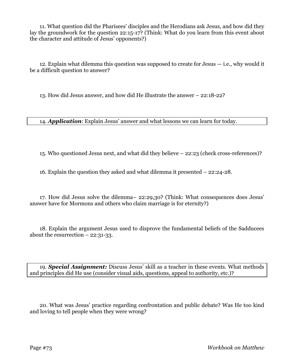11. What question did the Pharisees' disciples and the Herodians ask Jesus, and how did they lay the groundwork for the question 22:15-17? (Think: What do you learn from this event about the character and attitude of Jesus' opponents?)

12. Explain what dilemma this question was supposed to create for Jesus — i.e., why would it be a difficult question to answer?

13. How did Jesus answer, and how did He illustrate the answer – 22:18-22?

14. *Application*: Explain Jesus' answer and what lessons we can learn for today.

15. Who questioned Jesus next, and what did they believe – 22:23 (check cross-references)?

16. Explain the question they asked and what dilemma it presented – 22:24-28.

17. How did Jesus solve the dilemma– 22:29,30? (Think: What consequences does Jesus' answer have for Mormons and others who claim marriage is for eternity?)

18. Explain the argument Jesus used to disprove the fundamental beliefs of the Sadducees about the resurrection  $-22:31-33$ .

19. *Special Assignment:* Discuss Jesus' skill as a teacher in these events. What methods and principles did He use (consider visual aids, questions, appeal to authority, etc.)?

20. What was Jesus' practice regarding confrontation and public debate? Was He too kind and loving to tell people when they were wrong?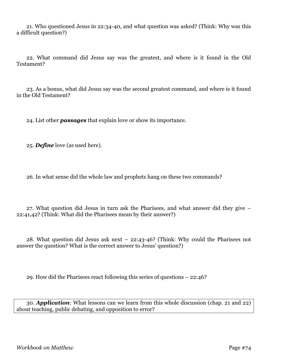21. Who questioned Jesus in 22:34-40, and what question was asked? (Think: Why was this a difficult question?)

22. What command did Jesus say was the greatest, and where is it found in the Old Testament?

23. As a bonus, what did Jesus say was the second greatest command, and where is it found in the Old Testament?

24. List other *passages* that explain love or show its importance.

25. *Define* love (as used here).

26. In what sense did the whole law and prophets hang on these two commands?

27. What question did Jesus in turn ask the Pharisees, and what answer did they give – 22:41,42? (Think: What did the Pharisees mean by their answer?)

28. What question did Jesus ask next – 22:43-46? (Think: Why could the Pharisees not answer the question? What is the correct answer to Jesus' question?)

29. How did the Pharisees react following this series of questions – 22:46?

30. *Application*: What lessons can we learn from this whole discussion (chap. 21 and 22) about teaching, public debating, and opposition to error?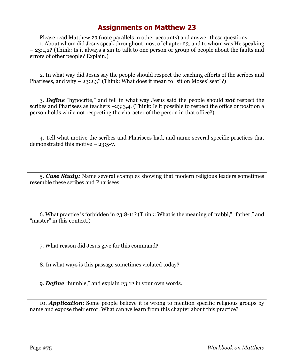Please read Matthew 23 (note parallels in other accounts) and answer these questions. 1. About whom did Jesus speak throughout most of chapter 23, and to whom was He speaking – 23:1,2? (Think: Is it always a sin to talk to one person or group of people about the faults and errors of other people? Explain.)

2. In what way did Jesus say the people should respect the teaching efforts of the scribes and Pharisees, and why  $-$  23:2,3? (Think: What does it mean to "sit on Moses' seat"?)

3. *Define* "hypocrite," and tell in what way Jesus said the people should *not* respect the scribes and Pharisees as teachers –23:3,4. (Think: Is it possible to respect the office or position a person holds while not respecting the character of the person in that office?)

4. Tell what motive the scribes and Pharisees had, and name several specific practices that demonstrated this motive – 23:5-7.

5. *Case Study:* Name several examples showing that modern religious leaders sometimes resemble these scribes and Pharisees.

6. What practice is forbidden in 23:8-11? (Think: What is the meaning of "rabbi," "father," and "master" in this context.)

7. What reason did Jesus give for this command?

8. In what ways is this passage sometimes violated today?

9. *Define* "humble," and explain 23:12 in your own words.

10. *Application*: Some people believe it is wrong to mention specific religious groups by name and expose their error. What can we learn from this chapter about this practice?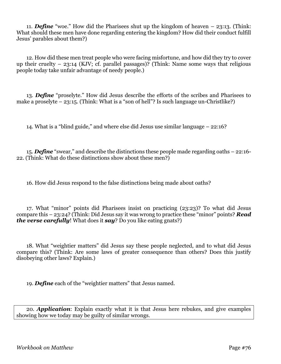11. *Define* "woe." How did the Pharisees shut up the kingdom of heaven – 23:13. (Think: What should these men have done regarding entering the kingdom? How did their conduct fulfill Jesus' parables about them?)

12. How did these men treat people who were facing misfortune, and how did they try to cover up their cruelty – 23:14 (KJV; cf. parallel passages)? (Think: Name some ways that religious people today take unfair advantage of needy people.)

13. *Define* "proselyte." How did Jesus describe the efforts of the scribes and Pharisees to make a proselyte  $-23:15$ . (Think: What is a "son of hell"? Is such language un-Christlike?)

14. What is a "blind guide," and where else did Jesus use similar language – 22:16?

15. *Define* "swear," and describe the distinctions these people made regarding oaths – 22:16- 22. (Think: What do these distinctions show about these men?)

16. How did Jesus respond to the false distinctions being made about oaths?

17. What "minor" points did Pharisees insist on practicing (23:23)? To what did Jesus compare this – 23:24? (Think: Did Jesus say it was wrong to practice these "minor" points? *Read the verse carefully*! What does it *say*? Do you like eating gnats?)

18. What "weightier matters" did Jesus say these people neglected, and to what did Jesus compare this? (Think: Are some laws of greater consequence than others? Does this justify disobeying other laws? Explain.)

19. *Define* each of the "weightier matters" that Jesus named.

20. *Application*: Explain exactly what it is that Jesus here rebukes, and give examples showing how we today may be guilty of similar wrongs.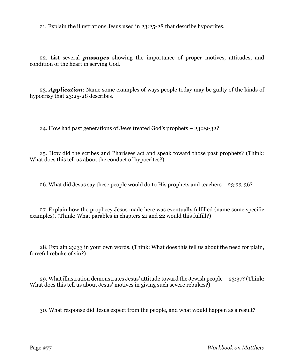21. Explain the illustrations Jesus used in 23:25-28 that describe hypocrites.

22. List several *passages* showing the importance of proper motives, attitudes, and condition of the heart in serving God.

23. *Application*: Name some examples of ways people today may be guilty of the kinds of hypocrisy that 23:25-28 describes.

24. How had past generations of Jews treated God's prophets – 23:29-32?

25. How did the scribes and Pharisees act and speak toward those past prophets? (Think: What does this tell us about the conduct of hypocrites?)

26. What did Jesus say these people would do to His prophets and teachers – 23:33-36?

27. Explain how the prophecy Jesus made here was eventually fulfilled (name some specific examples). (Think: What parables in chapters 21 and 22 would this fulfill?)

28. Explain 23:33 in your own words. (Think: What does this tell us about the need for plain, forceful rebuke of sin?)

29. What illustration demonstrates Jesus' attitude toward the Jewish people – 23:37? (Think: What does this tell us about Jesus' motives in giving such severe rebukes?)

30. What response did Jesus expect from the people, and what would happen as a result?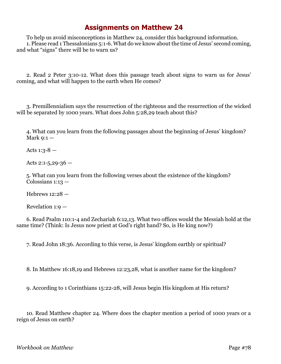To help us avoid misconceptions in Matthew 24, consider this background information. 1. Please read 1 Thessalonians 5:1-6. What do we know about the time of Jesus' second coming, and what "signs" there will be to warn us?

2. Read 2 Peter 3:10-12. What does this passage teach about signs to warn us for Jesus' coming, and what will happen to the earth when He comes?

3. Premillennialism says the resurrection of the righteous and the resurrection of the wicked will be separated by 1000 years. What does John 5:28,29 teach about this?

4. What can you learn from the following passages about the beginning of Jesus' kingdom? Mark  $9:1-$ 

Acts  $1:3-8$  -

Acts 2:1-5,29-36  $-$ 

5. What can you learn from the following verses about the existence of the kingdom? Colossians 1:13 —

Hebrews 12:28 —

Revelation 1:9 —

6. Read Psalm 110:1-4 and Zechariah 6:12,13. What two offices would the Messiah hold at the same time? (Think: Is Jesus now priest at God's right hand? So, is He king now?)

7. Read John 18:36. According to this verse, is Jesus' kingdom earthly or spiritual?

8. In Matthew 16:18,19 and Hebrews 12:23,28, what is another name for the kingdom?

9. According to 1 Corinthians 15:22-28, will Jesus begin His kingdom at His return?

10. Read Matthew chapter 24. Where does the chapter mention a period of 1000 years or a reign of Jesus on earth?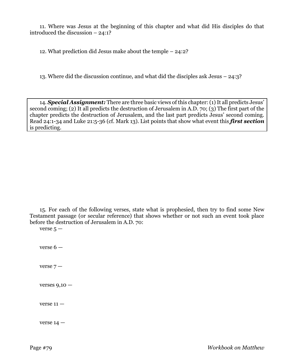11. Where was Jesus at the beginning of this chapter and what did His disciples do that introduced the discussion – 24:1?

12. What prediction did Jesus make about the temple – 24:2?

13. Where did the discussion continue, and what did the disciples ask Jesus – 24:3?

14. *Special Assignment:* There are three basic views of this chapter: (1) It all predicts Jesus' second coming; (2) It all predicts the destruction of Jerusalem in A.D. 70; (3) The first part of the chapter predicts the destruction of Jerusalem, and the last part predicts Jesus' second coming. Read 24:1-34 and Luke 21:5-36 (cf. Mark 13). List points that show what event this *first section* is predicting.

15. For each of the following verses, state what is prophesied, then try to find some New Testament passage (or secular reference) that shows whether or not such an event took place before the destruction of Jerusalem in A.D. 70:

verse  $5 -$ 

verse 6 —

verse  $7-$ 

verses  $9,10 -$ 

 $verse$  11  $-$ 

verse  $14 -$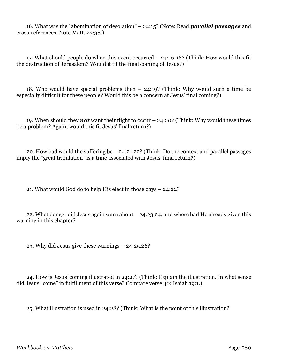16. What was the "abomination of desolation" – 24:15? (Note: Read *parallel passages* and cross-references. Note Matt. 23:38.)

17. What should people do when this event occurred – 24:16-18? (Think: How would this fit the destruction of Jerusalem? Would it fit the final coming of Jesus?)

18. Who would have special problems then – 24:19? (Think: Why would such a time be especially difficult for these people? Would this be a concern at Jesus' final coming?)

19. When should they *not* want their flight to occur – 24:20? (Think: Why would these times be a problem? Again, would this fit Jesus' final return?)

20. How bad would the suffering be – 24:21,22? (Think: Do the context and parallel passages imply the "great tribulation" is a time associated with Jesus' final return?)

21. What would God do to help His elect in those days – 24:22?

22. What danger did Jesus again warn about – 24:23,24, and where had He already given this warning in this chapter?

23. Why did Jesus give these warnings – 24:25,26?

24. How is Jesus' coming illustrated in 24:27? (Think: Explain the illustration. In what sense did Jesus "come" in fulfillment of this verse? Compare verse 30; Isaiah 19:1.)

25. What illustration is used in 24:28? (Think: What is the point of this illustration?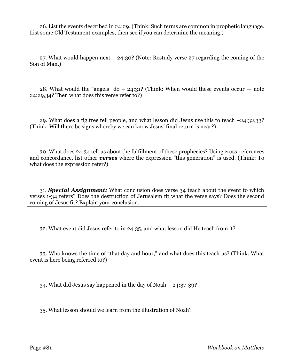26. List the events described in 24:29. (Think: Such terms are common in prophetic language. List some Old Testament examples, then see if you can determine the meaning.)

27. What would happen next – 24:30? (Note: Restudy verse 27 regarding the coming of the Son of Man.)

28. What would the "angels" do  $-$  24:31? (Think: When would these events occur  $-$  note 24:29,34? Then what does this verse refer to?)

29. What does a fig tree tell people, and what lesson did Jesus use this to teach –24:32,33? (Think: Will there be signs whereby we can know Jesus' final return is near?)

30. What does 24:34 tell us about the fulfillment of these prophecies? Using cross-references and concordance, list other *verses* where the expression "this generation" is used. (Think: To what does the expression refer?)

31. *Special Assignment:* What conclusion does verse 34 teach about the event to which verses 1-34 refers? Does the destruction of Jerusalem fit what the verse says? Does the second coming of Jesus fit? Explain your conclusion.

32. What event did Jesus refer to in 24:35, and what lesson did He teach from it?

33. Who knows the time of "that day and hour," and what does this teach us? (Think: What event is here being referred to?)

34. What did Jesus say happened in the day of Noah – 24:37-39?

35. What lesson should we learn from the illustration of Noah?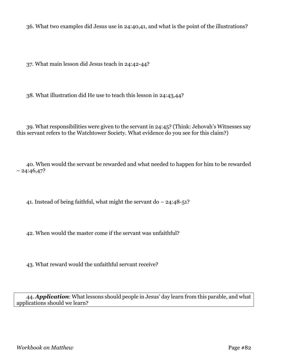36. What two examples did Jesus use in 24:40,41, and what is the point of the illustrations?

37. What main lesson did Jesus teach in 24:42-44?

38. What illustration did He use to teach this lesson in 24:43,44?

39. What responsibilities were given to the servant in 24:45? (Think: Jehovah's Witnesses say this servant refers to the Watchtower Society. What evidence do you see for this claim?)

40. When would the servant be rewarded and what needed to happen for him to be rewarded  $-24:46,47?$ 

41. Instead of being faithful, what might the servant do – 24:48-51?

42. When would the master come if the servant was unfaithful?

43. What reward would the unfaithful servant receive?

44. *Application*: What lessons should people in Jesus' day learn from this parable, and what applications should we learn?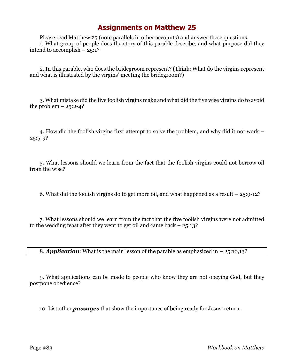Please read Matthew 25 (note parallels in other accounts) and answer these questions. 1. What group of people does the story of this parable describe, and what purpose did they intend to accomplish – 25:1?

2. In this parable, who does the bridegroom represent? (Think: What do the virgins represent and what is illustrated by the virgins' meeting the bridegroom?)

3. What mistake did the five foolish virgins make and what did the five wise virgins do to avoid the problem  $-25:2-4?$ 

4. How did the foolish virgins first attempt to solve the problem, and why did it not work –  $25:5-9?$ 

5. What lessons should we learn from the fact that the foolish virgins could not borrow oil from the wise?

6. What did the foolish virgins do to get more oil, and what happened as a result – 25:9-12?

7. What lessons should we learn from the fact that the five foolish virgins were not admitted to the wedding feast after they went to get oil and came back – 25:13?

8. *Application*: What is the main lesson of the parable as emphasized in – 25:10,13?

9. What applications can be made to people who know they are not obeying God, but they postpone obedience?

10. List other *passages* that show the importance of being ready for Jesus' return.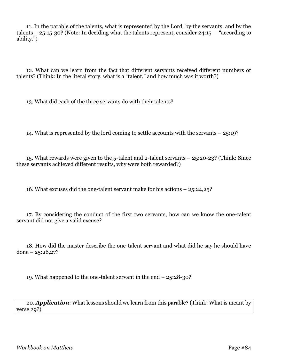11. In the parable of the talents, what is represented by the Lord, by the servants, and by the talents –  $25:15-30$ ? (Note: In deciding what the talents represent, consider  $24:15$  – "according to ability.")

12. What can we learn from the fact that different servants received different numbers of talents? (Think: In the literal story, what is a "talent," and how much was it worth?)

13. What did each of the three servants do with their talents?

14. What is represented by the lord coming to settle accounts with the servants – 25:19?

15. What rewards were given to the 5-talent and 2-talent servants – 25:20-23? (Think: Since these servants achieved different results, why were both rewarded?)

16. What excuses did the one-talent servant make for his actions – 25:24,25?

17. By considering the conduct of the first two servants, how can we know the one-talent servant did not give a valid excuse?

18. How did the master describe the one-talent servant and what did he say he should have done –  $25:26,27?$ 

19. What happened to the one-talent servant in the end – 25:28-30?

20. *Application*: What lessons should we learn from this parable? (Think: What is meant by verse 29?)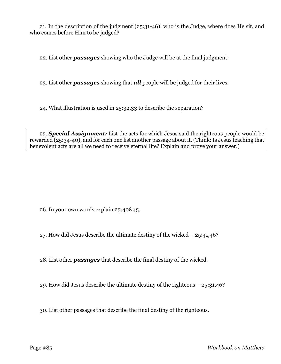21. In the description of the judgment (25:31-46), who is the Judge, where does He sit, and who comes before Him to be judged?

22. List other *passages* showing who the Judge will be at the final judgment.

23. List other *passages* showing that *all* people will be judged for their lives.

24. What illustration is used in 25:32,33 to describe the separation?

25. *Special Assignment:* List the acts for which Jesus said the righteous people would be rewarded (25:34-40), and for each one list another passage about it. (Think: Is Jesus teaching that benevolent acts are all we need to receive eternal life? Explain and prove your answer.)

26. In your own words explain 25:40&45.

27. How did Jesus describe the ultimate destiny of the wicked – 25:41,46?

28. List other *passages* that describe the final destiny of the wicked.

29. How did Jesus describe the ultimate destiny of the righteous  $-25:31,46$ ?

30. List other passages that describe the final destiny of the righteous.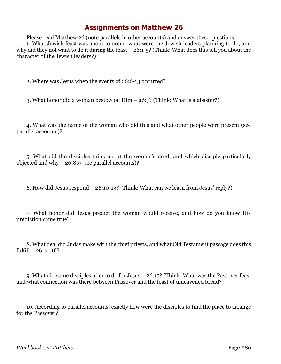Please read Matthew 26 (note parallels in other accounts) and answer these questions. 1. What Jewish feast was about to occur, what were the Jewish leaders planning to do, and why did they not want to do it during the feast – 26:1-5? (Think: What does this tell you about the character of the Jewish leaders?)

2. Where was Jesus when the events of 26:6-13 occurred?

3. What honor did a woman bestow on Him – 26:7? (Think: What is alabaster?)

4. What was the name of the woman who did this and what other people were present (see parallel accounts)?

5. What did the disciples think about the woman's deed, and which disciple particularly objected and why  $-26:8,9$  (see parallel accounts)?

6. How did Jesus respond – 26:10-13? (Think: What can we learn from Jesus' reply?)

7. What honor did Jesus predict the woman would receive, and how do you know His prediction came true?

8. What deal did Judas make with the chief priests, and what Old Testament passage does this fulfill  $-26:14-16?$ 

9. What did some disciples offer to do for Jesus – 26:17? (Think: What was the Passover feast and what connection was there between Passover and the feast of unleavened bread?)

10. According to parallel accounts, exactly how were the disciples to find the place to arrange for the Passover?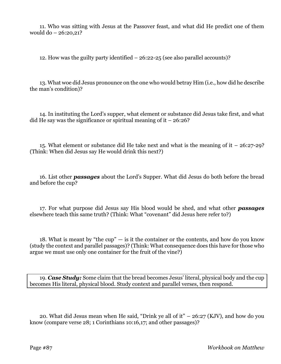11. Who was sitting with Jesus at the Passover feast, and what did He predict one of them would do – 26:20,21?

12. How was the guilty party identified – 26:22-25 (see also parallel accounts)?

13. What woe did Jesus pronounce on the one who would betray Him (i.e., how did he describe the man's condition)?

14. In instituting the Lord's supper, what element or substance did Jesus take first, and what did He say was the significance or spiritual meaning of it  $-26:26$ ?

15. What element or substance did He take next and what is the meaning of it – 26:27-29? (Think: When did Jesus say He would drink this next?)

16. List other *passages* about the Lord's Supper. What did Jesus do both before the bread and before the cup?

17. For what purpose did Jesus say His blood would be shed, and what other *passages* elsewhere teach this same truth? (Think: What "covenant" did Jesus here refer to?)

18. What is meant by "the  $cup$ "  $-$  is it the container or the contents, and how do you know (study the context and parallel passages)? (Think: What consequence does this have for those who argue we must use only one container for the fruit of the vine?)

19. *Case Study:* Some claim that the bread becomes Jesus' literal, physical body and the cup becomes His literal, physical blood. Study context and parallel verses, then respond.

20. What did Jesus mean when He said, "Drink ye all of it" – 26:27 (KJV), and how do you know (compare verse 28; 1 Corinthians 10:16,17; and other passages)?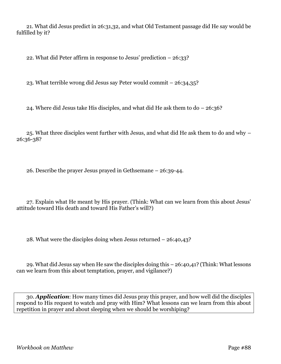21. What did Jesus predict in 26:31,32, and what Old Testament passage did He say would be fulfilled by it?

22. What did Peter affirm in response to Jesus' prediction  $-26:33$ ?

23. What terrible wrong did Jesus say Peter would commit – 26:34,35?

24. Where did Jesus take His disciples, and what did He ask them to  $do - 26:36?$ 

25. What three disciples went further with Jesus, and what did He ask them to do and why – 26:36-38?

26. Describe the prayer Jesus prayed in Gethsemane – 26:39-44.

27. Explain what He meant by His prayer. (Think: What can we learn from this about Jesus' attitude toward His death and toward His Father's will?)

28. What were the disciples doing when Jesus returned – 26:40,43?

29. What did Jesus say when He saw the disciples doing this – 26:40,41? (Think: What lessons can we learn from this about temptation, prayer, and vigilance?)

30. *Application*: How many times did Jesus pray this prayer, and how well did the disciples respond to His request to watch and pray with Him? What lessons can we learn from this about repetition in prayer and about sleeping when we should be worshiping?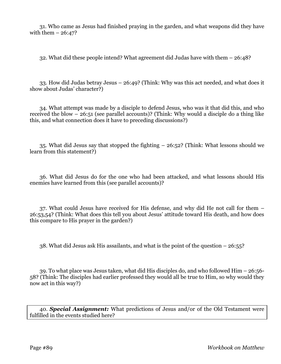31. Who came as Jesus had finished praying in the garden, and what weapons did they have with them  $-26:47$ ?

32. What did these people intend? What agreement did Judas have with them – 26:48?

33. How did Judas betray Jesus – 26:49? (Think: Why was this act needed, and what does it show about Judas' character?)

34. What attempt was made by a disciple to defend Jesus, who was it that did this, and who received the blow – 26:51 (see parallel accounts)? (Think: Why would a disciple do a thing like this, and what connection does it have to preceding discussions?)

35. What did Jesus say that stopped the fighting – 26:52? (Think: What lessons should we learn from this statement?)

36. What did Jesus do for the one who had been attacked, and what lessons should His enemies have learned from this (see parallel accounts)?

37. What could Jesus have received for His defense, and why did He not call for them – 26:53,54? (Think: What does this tell you about Jesus' attitude toward His death, and how does this compare to His prayer in the garden?)

38. What did Jesus ask His assailants, and what is the point of the question – 26:55?

39. To what place was Jesus taken, what did His disciples do, and who followed Him – 26:56- 58? (Think: The disciples had earlier professed they would all be true to Him, so why would they now act in this way?)

40. *Special Assignment:* What predictions of Jesus and/or of the Old Testament were fulfilled in the events studied here?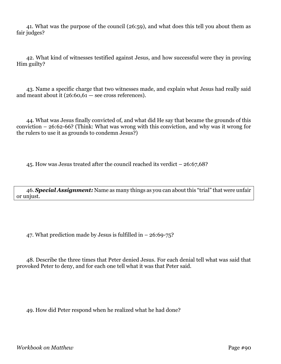41. What was the purpose of the council (26:59), and what does this tell you about them as fair judges?

42. What kind of witnesses testified against Jesus, and how successful were they in proving Him guilty?

43. Name a specific charge that two witnesses made, and explain what Jesus had really said and meant about it  $(26:60, 61 - \text{see cross references}).$ 

44. What was Jesus finally convicted of, and what did He say that became the grounds of this conviction – 26:62-66? (Think: What was wrong with this conviction, and why was it wrong for the rulers to use it as grounds to condemn Jesus?)

45. How was Jesus treated after the council reached its verdict – 26:67,68?

46. *Special Assignment:* Name as many things as you can about this "trial" that were unfair or unjust.

47. What prediction made by Jesus is fulfilled in  $-26:69-75$ ?

48. Describe the three times that Peter denied Jesus. For each denial tell what was said that provoked Peter to deny, and for each one tell what it was that Peter said.

49. How did Peter respond when he realized what he had done?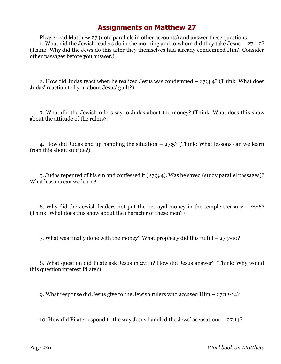Please read Matthew 27 (note parallels in other accounts) and answer these questions. 1. What did the Jewish leaders do in the morning and to whom did they take Jesus – 27:1,2? (Think: Why did the Jews do this after they themselves had already condemned Him? Consider other passages before you answer.)

2. How did Judas react when he realized Jesus was condemned  $-27:3,4$ ? (Think: What does Judas' reaction tell you about Jesus' guilt?)

3. What did the Jewish rulers say to Judas about the money? (Think: What does this show about the attitude of the rulers?)

4. How did Judas end up handling the situation – 27:5? (Think: What lessons can we learn from this about suicide?)

5. Judas repented of his sin and confessed it (27:3,4). Was he saved (study parallel passages)? What lessons can we learn?

6. Why did the Jewish leaders not put the betrayal money in the temple treasury  $-27:6$ ? (Think: What does this show about the character of these men?)

7. What was finally done with the money? What prophecy did this fulfill – 27:7-10?

8. What question did Pilate ask Jesus in 27:11? How did Jesus answer? (Think: Why would this question interest Pilate?)

9. What response did Jesus give to the Jewish rulers who accused Him – 27:12-14?

10. How did Pilate respond to the way Jesus handled the Jews' accusations – 27:14?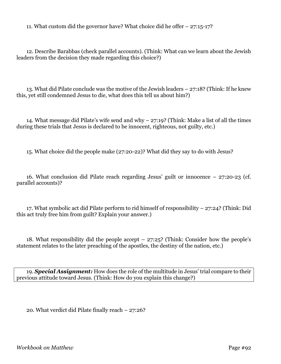11. What custom did the governor have? What choice did he offer – 27:15-17?

12. Describe Barabbas (check parallel accounts). (Think: What can we learn about the Jewish leaders from the decision they made regarding this choice?)

13. What did Pilate conclude was the motive of the Jewish leaders – 27:18? (Think: If he knew this, yet still condemned Jesus to die, what does this tell us about him?)

14. What message did Pilate's wife send and why – 27:19? (Think: Make a list of all the times during these trials that Jesus is declared to be innocent, righteous, not guilty, etc.)

15. What choice did the people make (27:20-22)? What did they say to do with Jesus?

16. What conclusion did Pilate reach regarding Jesus' guilt or innocence – 27:20-23 (cf. parallel accounts)?

17. What symbolic act did Pilate perform to rid himself of responsibility – 27:24? (Think: Did this act truly free him from guilt? Explain your answer.)

18. What responsibility did the people accept – 27:25? (Think: Consider how the people's statement relates to the later preaching of the apostles, the destiny of the nation, etc.)

19. *Special Assignment:* How does the role of the multitude in Jesus' trial compare to their previous attitude toward Jesus. (Think: How do you explain this change?)

20. What verdict did Pilate finally reach – 27:26?

*Workbook on Matthew* Page #92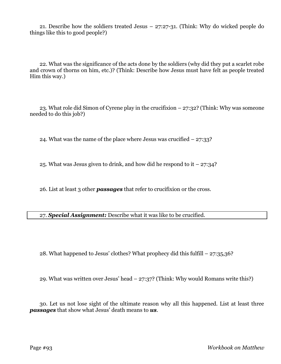21. Describe how the soldiers treated Jesus – 27:27-31. (Think: Why do wicked people do things like this to good people?)

22. What was the significance of the acts done by the soldiers (why did they put a scarlet robe and crown of thorns on him, etc.)? (Think: Describe how Jesus must have felt as people treated Him this way.)

23. What role did Simon of Cyrene play in the crucifixion – 27:32? (Think: Why was someone needed to do this job?)

24. What was the name of the place where Jesus was crucified  $-27:33$ ?

25. What was Jesus given to drink, and how did he respond to it  $-27:34$ ?

26. List at least 3 other *passages* that refer to crucifixion or the cross.

27. *Special Assignment:* Describe what it was like to be crucified.

28. What happened to Jesus' clothes? What prophecy did this fulfill – 27:35,36?

29. What was written over Jesus' head – 27:37? (Think: Why would Romans write this?)

30. Let us not lose sight of the ultimate reason why all this happened. List at least three *passages* that show what Jesus' death means to *us*.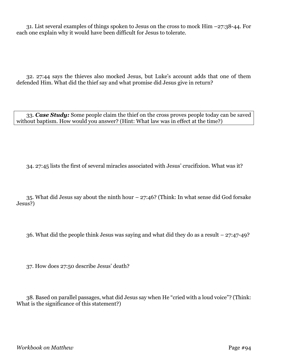31. List several examples of things spoken to Jesus on the cross to mock Him –27:38-44. For each one explain why it would have been difficult for Jesus to tolerate.

32. 27:44 says the thieves also mocked Jesus, but Luke's account adds that one of them defended Him. What did the thief say and what promise did Jesus give in return?

33. *Case Study:* Some people claim the thief on the cross proves people today can be saved without baptism. How would you answer? (Hint: What law was in effect at the time?)

34. 27:45 lists the first of several miracles associated with Jesus' crucifixion. What was it?

35. What did Jesus say about the ninth hour – 27:46? (Think: In what sense did God forsake Jesus?)

36. What did the people think Jesus was saying and what did they do as a result – 27:47-49?

37. How does 27:50 describe Jesus' death?

38. Based on parallel passages, what did Jesus say when He "cried with a loud voice"? (Think: What is the significance of this statement?)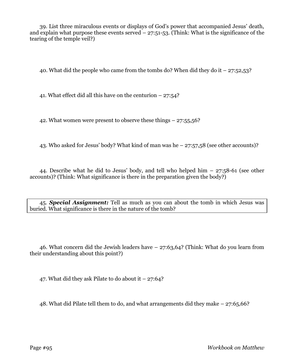39. List three miraculous events or displays of God's power that accompanied Jesus' death, and explain what purpose these events served  $-27:51-53$ . (Think: What is the significance of the tearing of the temple veil?)

40. What did the people who came from the tombs do? When did they do it  $-27:52,53$ ?

41. What effect did all this have on the centurion  $-27:54$ ?

42. What women were present to observe these things – 27:55,56?

43. Who asked for Jesus' body? What kind of man was he – 27:57,58 (see other accounts)?

44. Describe what he did to Jesus' body, and tell who helped him – 27:58-61 (see other accounts)? (Think: What significance is there in the preparation given the body?)

45. *Special Assignment:* Tell as much as you can about the tomb in which Jesus was buried. What significance is there in the nature of the tomb?

46. What concern did the Jewish leaders have – 27:63,64? (Think: What do you learn from their understanding about this point?)

47. What did they ask Pilate to do about it  $-27:64?$ 

48. What did Pilate tell them to do, and what arrangements did they make – 27:65,66?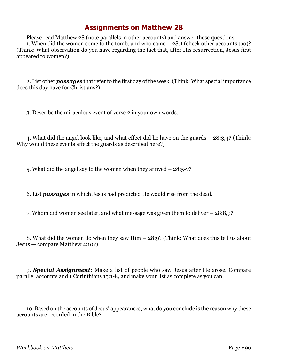Please read Matthew 28 (note parallels in other accounts) and answer these questions. 1. When did the women come to the tomb, and who came – 28:1 (check other accounts too)? (Think: What observation do you have regarding the fact that, after His resurrection, Jesus first appeared to women?)

2. List other *passages* that refer to the first day of the week. (Think: What special importance does this day have for Christians?)

3. Describe the miraculous event of verse 2 in your own words.

4. What did the angel look like, and what effect did he have on the guards – 28:3,4? (Think: Why would these events affect the guards as described here?)

5. What did the angel say to the women when they arrived – 28:5-7?

6. List *passages* in which Jesus had predicted He would rise from the dead.

7. Whom did women see later, and what message was given them to deliver – 28:8,9?

8. What did the women do when they saw Him – 28:9? (Think: What does this tell us about Jesus — compare Matthew 4:10?)

9. *Special Assignment:* Make a list of people who saw Jesus after He arose. Compare parallel accounts and 1 Corinthians 15:1-8, and make your list as complete as you can.

10. Based on the accounts of Jesus' appearances, what do you conclude is the reason why these accounts are recorded in the Bible?

*Workbook on Matthew* Page #96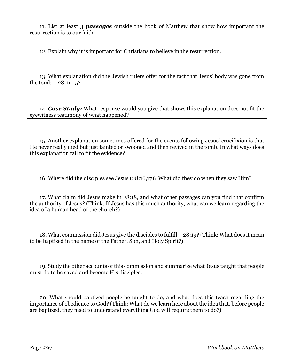11. List at least 3 *passages* outside the book of Matthew that show how important the resurrection is to our faith.

12. Explain why it is important for Christians to believe in the resurrection.

13. What explanation did the Jewish rulers offer for the fact that Jesus' body was gone from the tomb  $-28:11-15$ ?

14. *Case Study:* What response would you give that shows this explanation does not fit the eyewitness testimony of what happened?

15. Another explanation sometimes offered for the events following Jesus' crucifixion is that He never really died but just fainted or swooned and then revived in the tomb. In what ways does this explanation fail to fit the evidence?

16. Where did the disciples see Jesus (28:16,17)? What did they do when they saw Him?

17. What claim did Jesus make in 28:18, and what other passages can you find that confirm the authority of Jesus? (Think: If Jesus has this much authority, what can we learn regarding the idea of a human head of the church?)

18. What commission did Jesus give the disciples to fulfill – 28:19? (Think: What does it mean to be baptized in the name of the Father, Son, and Holy Spirit?)

19. Study the other accounts of this commission and summarize what Jesus taught that people must do to be saved and become His disciples.

20. What should baptized people be taught to do, and what does this teach regarding the importance of obedience to God? (Think: What do we learn here about the idea that, before people are baptized, they need to understand everything God will require them to do?)